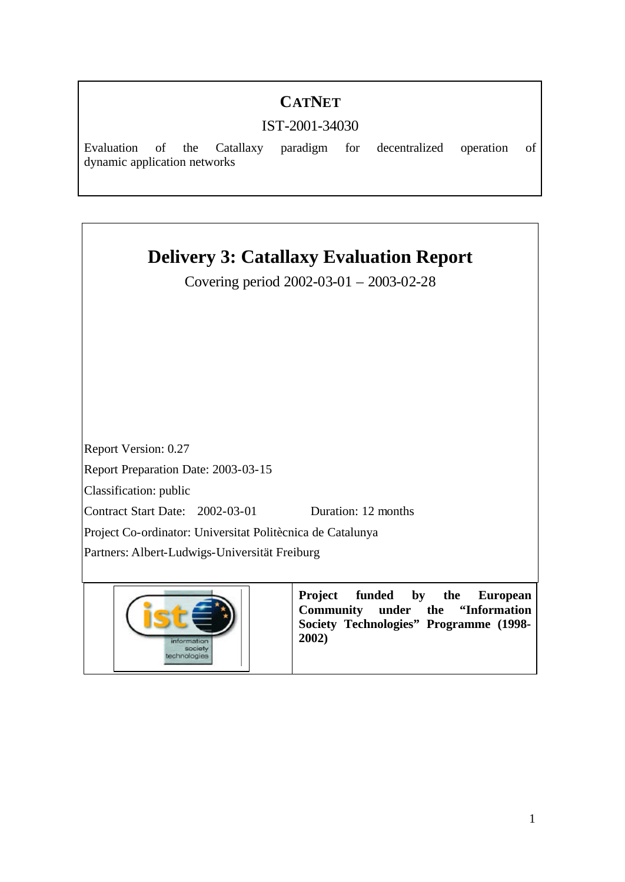# **CATNET**

# IST-2001-34030

Evaluation of the Catallaxy paradigm for decentralized operation of dynamic application networks

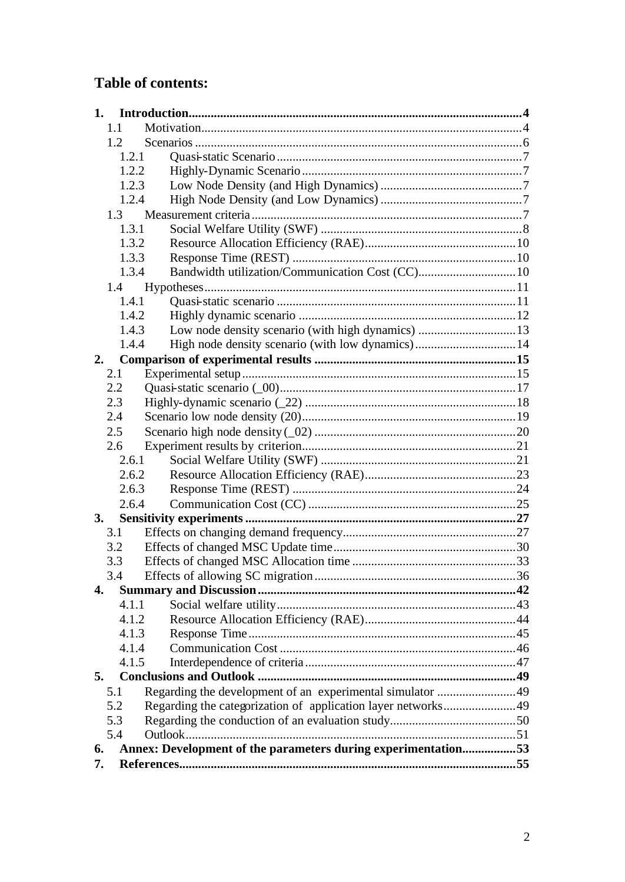# **Table of contents:**

| 1.  |                                                               |  |  |
|-----|---------------------------------------------------------------|--|--|
|     | 1.1                                                           |  |  |
|     | 1.2                                                           |  |  |
|     | 1.2.1                                                         |  |  |
|     | 1.2.2                                                         |  |  |
|     | 1.2.3                                                         |  |  |
|     | 1.2.4                                                         |  |  |
|     | 1.3                                                           |  |  |
|     | 1.3.1                                                         |  |  |
|     | 1.3.2                                                         |  |  |
|     | 1.3.3                                                         |  |  |
|     | Bandwidth utilization/Communication Cost (CC) 10<br>1.3.4     |  |  |
|     | 1.4                                                           |  |  |
|     | 1.4.1                                                         |  |  |
|     | 1.4.2                                                         |  |  |
|     | Low node density scenario (with high dynamics) 13<br>1.4.3    |  |  |
|     | 1.4.4                                                         |  |  |
| 2.  |                                                               |  |  |
| 2.1 |                                                               |  |  |
| 2.2 |                                                               |  |  |
| 2.3 |                                                               |  |  |
| 2.4 |                                                               |  |  |
| 2.5 |                                                               |  |  |
| 2.6 |                                                               |  |  |
|     | 2.6.1                                                         |  |  |
|     | 2.6.2                                                         |  |  |
|     | 2.6.3                                                         |  |  |
|     | 2.6.4                                                         |  |  |
| 3.  |                                                               |  |  |
| 3.1 |                                                               |  |  |
| 3.2 |                                                               |  |  |
| 3.3 |                                                               |  |  |
| 3.4 |                                                               |  |  |
| 4.  |                                                               |  |  |
|     | 4.1.1                                                         |  |  |
|     | 4.1.2                                                         |  |  |
|     | 4.1.3                                                         |  |  |
|     | 4.1.4                                                         |  |  |
|     | 4.1.5                                                         |  |  |
| 5.  |                                                               |  |  |
| 5.1 | Regarding the development of an experimental simulator 49     |  |  |
| 5.2 | Regarding the categorization of application layer networks49  |  |  |
| 5.3 |                                                               |  |  |
| 5.4 |                                                               |  |  |
| 6.  | Annex: Development of the parameters during experimentation53 |  |  |
| 7.  |                                                               |  |  |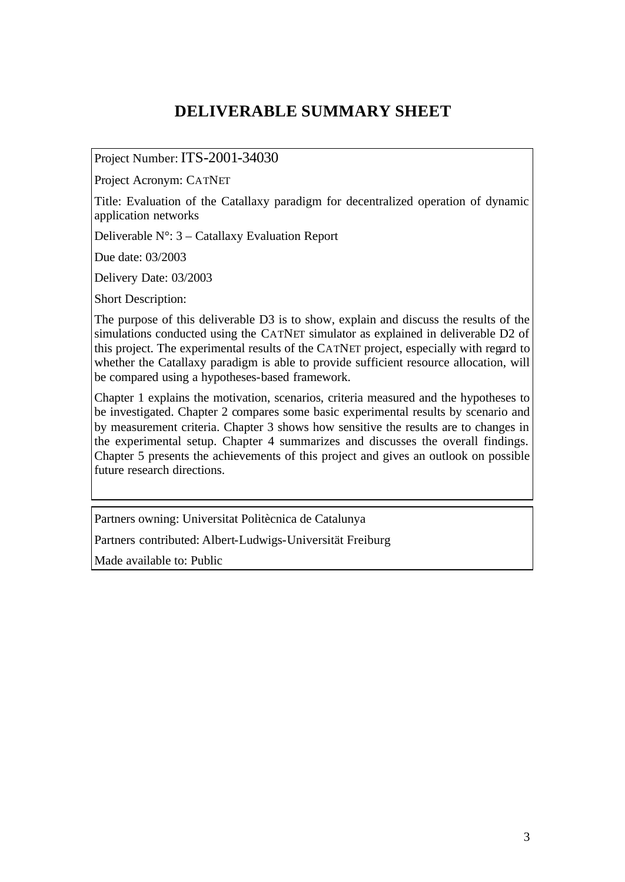# **DELIVERABLE SUMMARY SHEET**

## Project Number: ITS-2001-34030

Project Acronym: CATNET

Title: Evaluation of the Catallaxy paradigm for decentralized operation of dynamic application networks

Deliverable  $N^{\circ}$ : 3 – Catallaxy Evaluation Report

Due date: 03/2003

Delivery Date: 03/2003

Short Description:

The purpose of this deliverable D3 is to show, explain and discuss the results of the simulations conducted using the CATNET simulator as explained in deliverable D2 of this project. The experimental results of the CATNET project, especially with regard to whether the Catallaxy paradigm is able to provide sufficient resource allocation, will be compared using a hypotheses-based framework.

Chapter 1 explains the motivation, scenarios, criteria measured and the hypotheses to be investigated. Chapter 2 compares some basic experimental results by scenario and by measurement criteria. Chapter 3 shows how sensitive the results are to changes in the experimental setup. Chapter 4 summarizes and discusses the overall findings. Chapter 5 presents the achievements of this project and gives an outlook on possible future research directions.

Partners owning: Universitat Politècnica de Catalunya

Partners contributed: Albert-Ludwigs-Universität Freiburg

Made available to: Public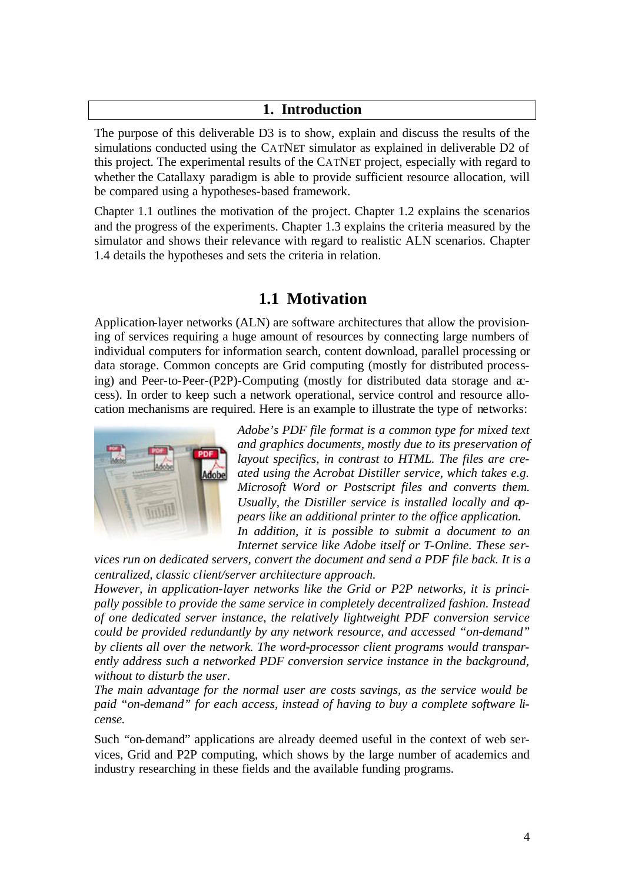## **1. Introduction**

The purpose of this deliverable D3 is to show, explain and discuss the results of the simulations conducted using the CATNET simulator as explained in deliverable D2 of this project. The experimental results of the CATNET project, especially with regard to whether the Catallaxy paradigm is able to provide sufficient resource allocation, will be compared using a hypotheses-based framework.

Chapter 1.1 outlines the motivation of the project. Chapter 1.2 explains the scenarios and the progress of the experiments. Chapter 1.3 explains the criteria measured by the simulator and shows their relevance with regard to realistic ALN scenarios. Chapter 1.4 details the hypotheses and sets the criteria in relation.

# **1.1 Motivation**

Application-layer networks (ALN) are software architectures that allow the provisioning of services requiring a huge amount of resources by connecting large numbers of individual computers for information search, content download, parallel processing or data storage. Common concepts are Grid computing (mostly for distributed processing) and Peer-to-Peer-(P2P)-Computing (mostly for distributed data storage and  $x$ cess). In order to keep such a network operational, service control and resource allocation mechanisms are required. Here is an example to illustrate the type of networks:



*Adobe's PDF file format is a common type for mixed text and graphics documents, mostly due to its preservation of layout specifics, in contrast to HTML. The files are created using the Acrobat Distiller service, which takes e.g. Microsoft Word or Postscript files and converts them. Usually, the Distiller service is installed locally and appears like an additional printer to the office application. In addition, it is possible to submit a document to an*

*Internet service like Adobe itself or T-Online. These services run on dedicated servers, convert the document and send a PDF file back. It is a* 

*centralized, classic client/server architecture approach. However, in application-layer networks like the Grid or P2P networks, it is princi-*

*pally possible to provide the same service in completely decentralized fashion. Instead of one dedicated server instance, the relatively lightweight PDF conversion service could be provided redundantly by any network resource, and accessed "on-demand" by clients all over the network. The word-processor client programs would transparently address such a networked PDF conversion service instance in the background, without to disturb the user.* 

*The main advantage for the normal user are costs savings, as the service would be paid "on-demand" for each access, instead of having to buy a complete software license.*

Such "on-demand" applications are already deemed useful in the context of web services, Grid and P2P computing, which shows by the large number of academics and industry researching in these fields and the available funding programs.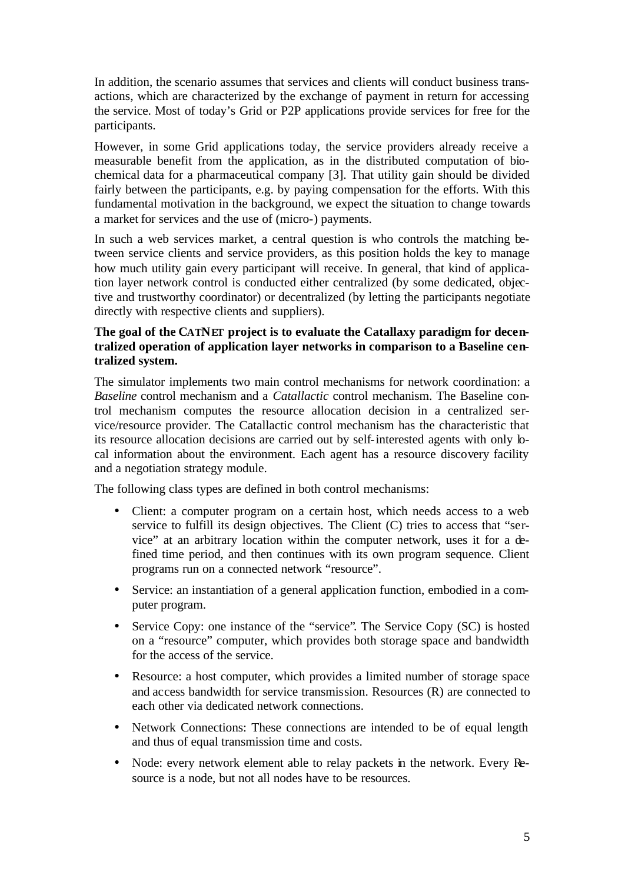In addition, the scenario assumes that services and clients will conduct business transactions, which are characterized by the exchange of payment in return for accessing the service. Most of today's Grid or P2P applications provide services for free for the participants.

However, in some Grid applications today, the service providers already receive a measurable benefit from the application, as in the distributed computation of biochemical data for a pharmaceutical company [3]. That utility gain should be divided fairly between the participants, e.g. by paying compensation for the efforts. With this fundamental motivation in the background, we expect the situation to change towards a market for services and the use of (micro-) payments.

In such a web services market, a central question is who controls the matching between service clients and service providers, as this position holds the key to manage how much utility gain every participant will receive. In general, that kind of application layer network control is conducted either centralized (by some dedicated, objective and trustworthy coordinator) or decentralized (by letting the participants negotiate directly with respective clients and suppliers).

## **The goal of the CATNET project is to evaluate the Catallaxy paradigm for decentralized operation of application layer networks in comparison to a Baseline centralized system.**

The simulator implements two main control mechanisms for network coordination: a *Baseline* control mechanism and a *Catallactic* control mechanism. The Baseline control mechanism computes the resource allocation decision in a centralized service/resource provider. The Catallactic control mechanism has the characteristic that its resource allocation decisions are carried out by self-interested agents with only local information about the environment. Each agent has a resource discovery facility and a negotiation strategy module.

The following class types are defined in both control mechanisms:

- Client: a computer program on a certain host, which needs access to a web service to fulfill its design objectives. The Client (C) tries to access that "service" at an arbitrary location within the computer network, uses it for a defined time period, and then continues with its own program sequence. Client programs run on a connected network "resource".
- Service: an instantiation of a general application function, embodied in a computer program.
- Service Copy: one instance of the "service". The Service Copy (SC) is hosted on a "resource" computer, which provides both storage space and bandwidth for the access of the service.
- Resource: a host computer, which provides a limited number of storage space and access bandwidth for service transmission. Resources (R) are connected to each other via dedicated network connections.
- Network Connections: These connections are intended to be of equal length and thus of equal transmission time and costs.
- Node: every network element able to relay packets in the network. Every Resource is a node, but not all nodes have to be resources.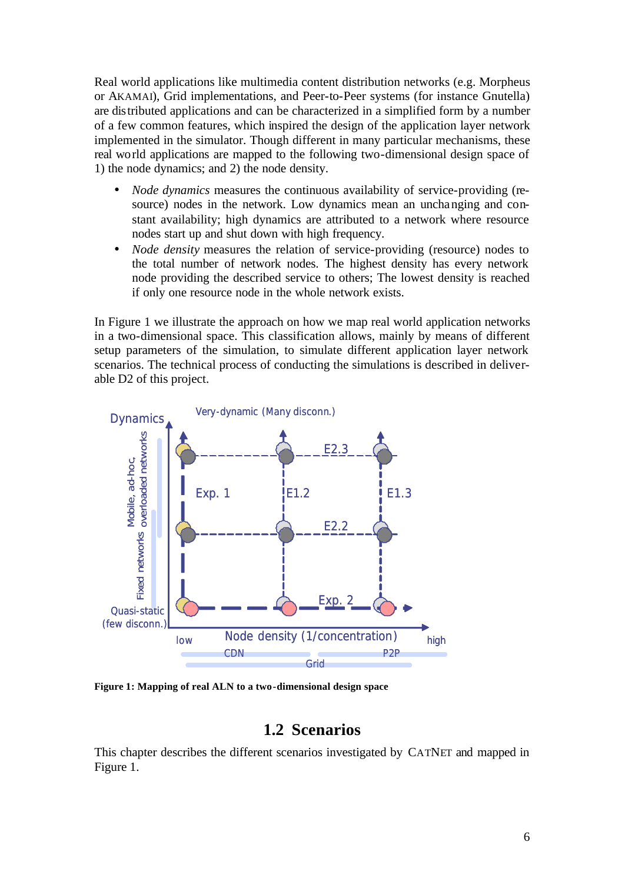Real world applications like multimedia content distribution networks (e.g. Morpheus or AKAMAI), Grid implementations, and Peer-to-Peer systems (for instance Gnutella) are distributed applications and can be characterized in a simplified form by a number of a few common features, which inspired the design of the application layer network implemented in the simulator. Though different in many particular mechanisms, these real world applications are mapped to the following two-dimensional design space of 1) the node dynamics; and 2) the node density.

- *Node dynamics* measures the continuous availability of service-providing (resource) nodes in the network. Low dynamics mean an unchanging and constant availability; high dynamics are attributed to a network where resource nodes start up and shut down with high frequency.
- *Node density* measures the relation of service-providing (resource) nodes to the total number of network nodes. The highest density has every network node providing the described service to others; The lowest density is reached if only one resource node in the whole network exists.

In Figure 1 we illustrate the approach on how we map real world application networks in a two-dimensional space. This classification allows, mainly by means of different setup parameters of the simulation, to simulate different application layer network scenarios. The technical process of conducting the simulations is described in deliverable D2 of this project.



**Figure 1: Mapping of real ALN to a two-dimensional design space**

## **1.2 Scenarios**

This chapter describes the different scenarios investigated by CATNET and mapped in Figure 1.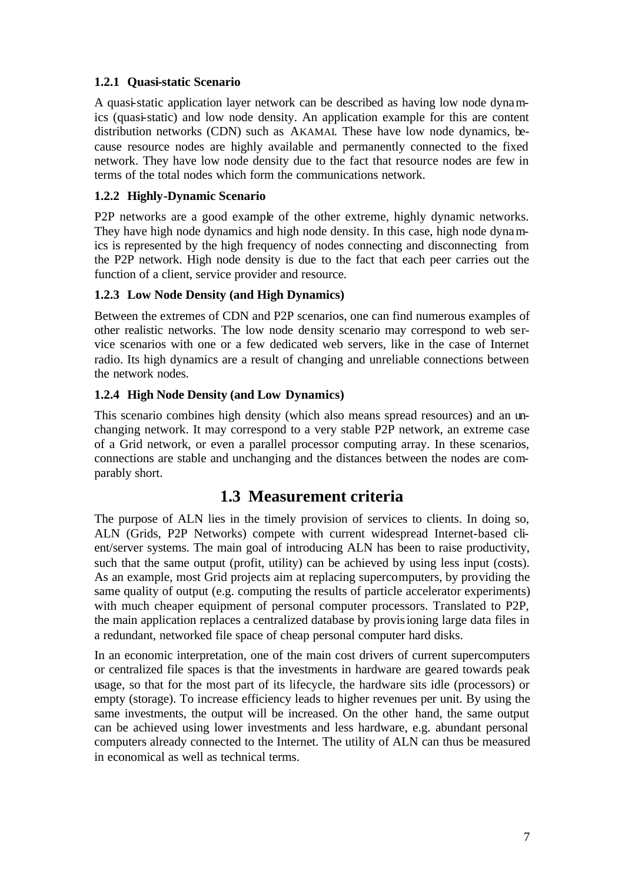## **1.2.1 Quasi-static Scenario**

A quasi-static application layer network can be described as having low node dynamics (quasi-static) and low node density. An application example for this are content distribution networks (CDN) such as AKAMAI. These have low node dynamics, because resource nodes are highly available and permanently connected to the fixed network. They have low node density due to the fact that resource nodes are few in terms of the total nodes which form the communications network.

## **1.2.2 Highly-Dynamic Scenario**

P2P networks are a good example of the other extreme, highly dynamic networks. They have high node dynamics and high node density. In this case, high node dynamics is represented by the high frequency of nodes connecting and disconnecting from the P2P network. High node density is due to the fact that each peer carries out the function of a client, service provider and resource.

## **1.2.3 Low Node Density (and High Dynamics)**

Between the extremes of CDN and P2P scenarios, one can find numerous examples of other realistic networks. The low node density scenario may correspond to web service scenarios with one or a few dedicated web servers, like in the case of Internet radio. Its high dynamics are a result of changing and unreliable connections between the network nodes.

### **1.2.4 High Node Density (and Low Dynamics)**

This scenario combines high density (which also means spread resources) and an unchanging network. It may correspond to a very stable P2P network, an extreme case of a Grid network, or even a parallel processor computing array. In these scenarios, connections are stable and unchanging and the distances between the nodes are comparably short.

## **1.3 Measurement criteria**

The purpose of ALN lies in the timely provision of services to clients. In doing so, ALN (Grids, P2P Networks) compete with current widespread Internet-based client/server systems. The main goal of introducing ALN has been to raise productivity, such that the same output (profit, utility) can be achieved by using less input (costs). As an example, most Grid projects aim at replacing supercomputers, by providing the same quality of output (e.g. computing the results of particle accelerator experiments) with much cheaper equipment of personal computer processors. Translated to P2P, the main application replaces a centralized database by provisioning large data files in a redundant, networked file space of cheap personal computer hard disks.

In an economic interpretation, one of the main cost drivers of current supercomputers or centralized file spaces is that the investments in hardware are geared towards peak usage, so that for the most part of its lifecycle, the hardware sits idle (processors) or empty (storage). To increase efficiency leads to higher revenues per unit. By using the same investments, the output will be increased. On the other hand, the same output can be achieved using lower investments and less hardware, e.g. abundant personal computers already connected to the Internet. The utility of ALN can thus be measured in economical as well as technical terms.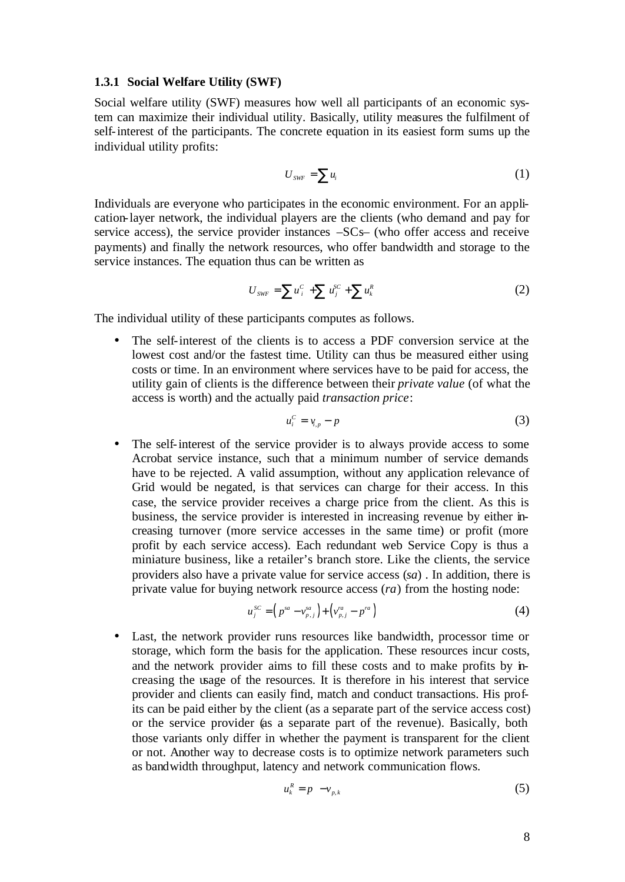#### **1.3.1 Social Welfare Utility (SWF)**

Social welfare utility (SWF) measures how well all participants of an economic system can maximize their individual utility. Basically, utility measures the fulfilment of self-interest of the participants. The concrete equation in its easiest form sums up the individual utility profits:

$$
U_{\text{SWF}} = \sum u_i \tag{1}
$$

Individuals are everyone who participates in the economic environment. For an application-layer network, the individual players are the clients (who demand and pay for service access), the service provider instances –SCs– (who offer access and receive payments) and finally the network resources, who offer bandwidth and storage to the service instances. The equation thus can be written as

$$
U_{\text{SWF}} = \sum u_i^C + \sum u_j^{SC} + \sum u_k^R \tag{2}
$$

The individual utility of these participants computes as follows.

• The self-interest of the clients is to access a PDF conversion service at the lowest cost and/or the fastest time. Utility can thus be measured either using costs or time. In an environment where services have to be paid for access, the utility gain of clients is the difference between their *private value* (of what the access is worth) and the actually paid *transaction price*:

$$
u_i^c = v_{i,p} - p \tag{3}
$$

• The self-interest of the service provider is to always provide access to some Acrobat service instance, such that a minimum number of service demands have to be rejected. A valid assumption, without any application relevance of Grid would be negated, is that services can charge for their access. In this case, the service provider receives a charge price from the client. As this is business, the service provider is interested in increasing revenue by either increasing turnover (more service accesses in the same time) or profit (more profit by each service access). Each redundant web Service Copy is thus a miniature business, like a retailer's branch store. Like the clients, the service providers also have a private value for service access (*sa*) . In addition, there is private value for buying network resource access (*ra*) from the hosting node:

$$
u_j^{SC} = (p^{sa} - v_{p,j}^{sa}) + (v_{p,j}^{ra} - p^{ra})
$$
 (4)

• Last, the network provider runs resources like bandwidth, processor time or storage, which form the basis for the application. These resources incur costs, and the network provider aims to fill these costs and to make profits by increasing the usage of the resources. It is therefore in his interest that service provider and clients can easily find, match and conduct transactions. His profits can be paid either by the client (as a separate part of the service access cost) or the service provider (as a separate part of the revenue). Basically, both those variants only differ in whether the payment is transparent for the client or not. Another way to decrease costs is to optimize network parameters such as bandwidth throughput, latency and network communication flows.

$$
u_k^R = p - v_{p,k} \tag{5}
$$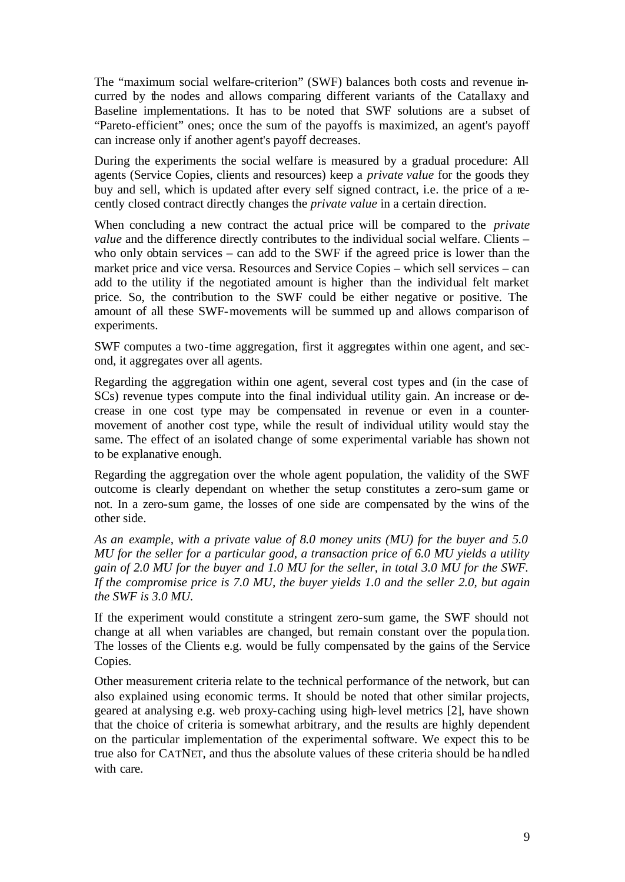The "maximum social welfare-criterion" (SWF) balances both costs and revenue incurred by the nodes and allows comparing different variants of the Catallaxy and Baseline implementations. It has to be noted that SWF solutions are a subset of "Pareto-efficient" ones; once the sum of the payoffs is maximized, an agent's payoff can increase only if another agent's payoff decreases.

During the experiments the social welfare is measured by a gradual procedure: All agents (Service Copies, clients and resources) keep a *private value* for the goods they buy and sell, which is updated after every self signed contract, i.e. the price of a recently closed contract directly changes the *private value* in a certain direction.

When concluding a new contract the actual price will be compared to the *private value* and the difference directly contributes to the individual social welfare. Clients – who only obtain services – can add to the SWF if the agreed price is lower than the market price and vice versa. Resources and Service Copies – which sell services – can add to the utility if the negotiated amount is higher than the individual felt market price. So, the contribution to the SWF could be either negative or positive. The amount of all these SWF-movements will be summed up and allows comparison of experiments.

SWF computes a two-time aggregation, first it aggregates within one agent, and second, it aggregates over all agents.

Regarding the aggregation within one agent, several cost types and (in the case of SCs) revenue types compute into the final individual utility gain. An increase or decrease in one cost type may be compensated in revenue or even in a countermovement of another cost type, while the result of individual utility would stay the same. The effect of an isolated change of some experimental variable has shown not to be explanative enough.

Regarding the aggregation over the whole agent population, the validity of the SWF outcome is clearly dependant on whether the setup constitutes a zero-sum game or not. In a zero-sum game, the losses of one side are compensated by the wins of the other side.

*As an example, with a private value of 8.0 money units (MU) for the buyer and 5.0 MU for the seller for a particular good, a transaction price of 6.0 MU yields a utility gain of 2.0 MU for the buyer and 1.0 MU for the seller, in total 3.0 MU for the SWF. If the compromise price is 7.0 MU, the buyer yields 1.0 and the seller 2.0, but again the SWF is 3.0 MU.*

If the experiment would constitute a stringent zero-sum game, the SWF should not change at all when variables are changed, but remain constant over the popula tion. The losses of the Clients e.g. would be fully compensated by the gains of the Service Copies.

Other measurement criteria relate to the technical performance of the network, but can also explained using economic terms. It should be noted that other similar projects, geared at analysing e.g. web proxy-caching using high-level metrics [2], have shown that the choice of criteria is somewhat arbitrary, and the results are highly dependent on the particular implementation of the experimental software. We expect this to be true also for CATNET, and thus the absolute values of these criteria should be handled with care.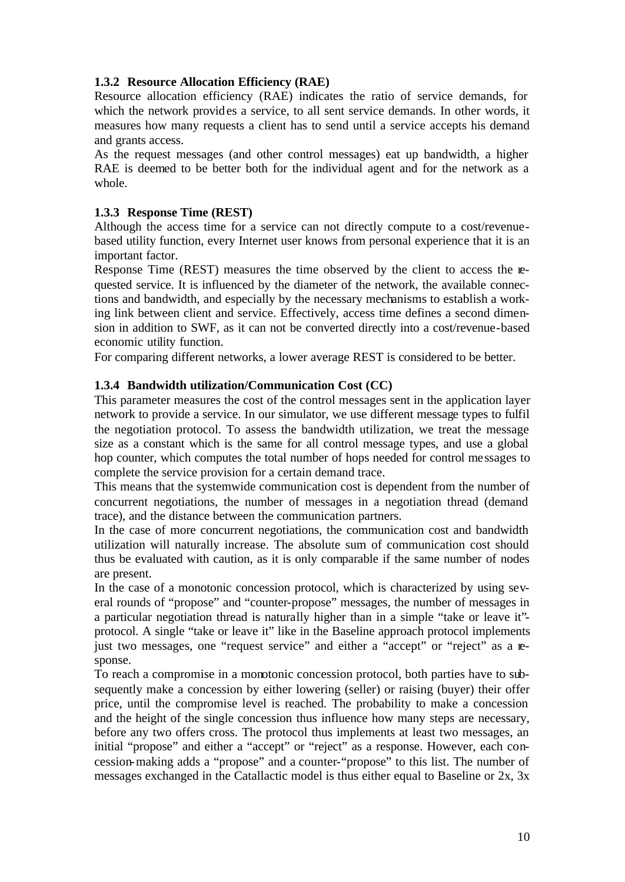## **1.3.2 Resource Allocation Efficiency (RAE)**

Resource allocation efficiency (RAE) indicates the ratio of service demands, for which the network provides a service, to all sent service demands. In other words, it measures how many requests a client has to send until a service accepts his demand and grants access.

As the request messages (and other control messages) eat up bandwidth, a higher RAE is deemed to be better both for the individual agent and for the network as a whole.

## **1.3.3 Response Time (REST)**

Although the access time for a service can not directly compute to a cost/revenuebased utility function, every Internet user knows from personal experience that it is an important factor.

Response Time (REST) measures the time observed by the client to access the requested service. It is influenced by the diameter of the network, the available connections and bandwidth, and especially by the necessary mechanisms to establish a working link between client and service. Effectively, access time defines a second dimension in addition to SWF, as it can not be converted directly into a cost/revenue-based economic utility function.

For comparing different networks, a lower average REST is considered to be better.

## **1.3.4 Bandwidth utilization/Communication Cost (CC)**

This parameter measures the cost of the control messages sent in the application layer network to provide a service. In our simulator, we use different message types to fulfil the negotiation protocol. To assess the bandwidth utilization, we treat the message size as a constant which is the same for all control message types, and use a global hop counter, which computes the total number of hops needed for control messages to complete the service provision for a certain demand trace.

This means that the systemwide communication cost is dependent from the number of concurrent negotiations, the number of messages in a negotiation thread (demand trace), and the distance between the communication partners.

In the case of more concurrent negotiations, the communication cost and bandwidth utilization will naturally increase. The absolute sum of communication cost should thus be evaluated with caution, as it is only comparable if the same number of nodes are present.

In the case of a monotonic concession protocol, which is characterized by using several rounds of "propose" and "counter-propose" messages, the number of messages in a particular negotiation thread is naturally higher than in a simple "take or leave it" protocol. A single "take or leave it" like in the Baseline approach protocol implements just two messages, one "request service" and either a "accept" or "reject" as a response.

To reach a compromise in a monotonic concession protocol, both parties have to subsequently make a concession by either lowering (seller) or raising (buyer) their offer price, until the compromise level is reached. The probability to make a concession and the height of the single concession thus influence how many steps are necessary, before any two offers cross. The protocol thus implements at least two messages, an initial "propose" and either a "accept" or "reject" as a response. However, each concession-making adds a "propose" and a counter-"propose" to this list. The number of messages exchanged in the Catallactic model is thus either equal to Baseline or 2x, 3x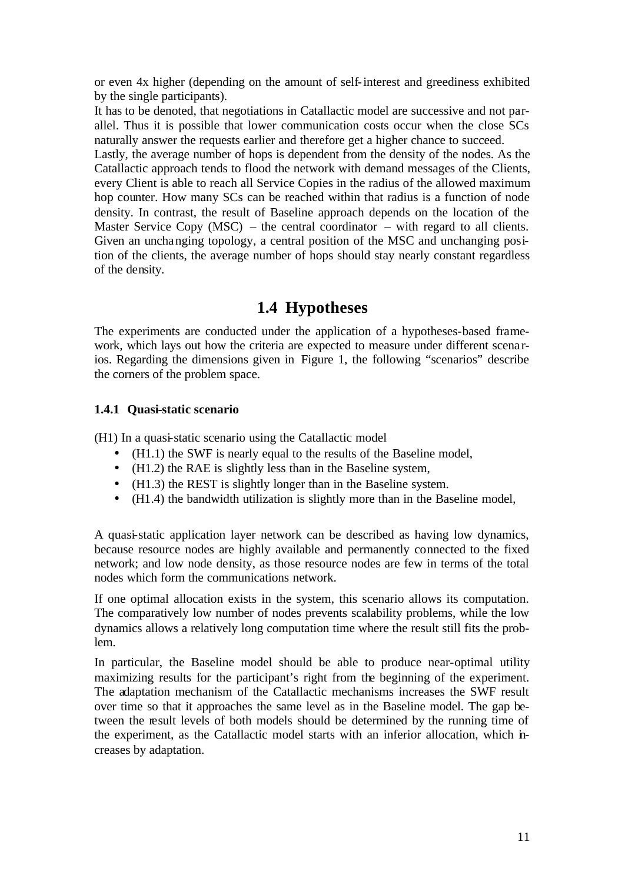or even 4x higher (depending on the amount of self-interest and greediness exhibited by the single participants).

It has to be denoted, that negotiations in Catallactic model are successive and not parallel. Thus it is possible that lower communication costs occur when the close SCs naturally answer the requests earlier and therefore get a higher chance to succeed.

Lastly, the average number of hops is dependent from the density of the nodes. As the Catallactic approach tends to flood the network with demand messages of the Clients, every Client is able to reach all Service Copies in the radius of the allowed maximum hop counter. How many SCs can be reached within that radius is a function of node density. In contrast, the result of Baseline approach depends on the location of the Master Service Copy  $(MSC)$  – the central coordinator – with regard to all clients. Given an unchanging topology, a central position of the MSC and unchanging position of the clients, the average number of hops should stay nearly constant regardless of the density.

# **1.4 Hypotheses**

The experiments are conducted under the application of a hypotheses-based framework, which lays out how the criteria are expected to measure under different scena rios. Regarding the dimensions given in Figure 1, the following "scenarios" describe the corners of the problem space.

## **1.4.1 Quasi-static scenario**

(H1) In a quasi-static scenario using the Catallactic model

- (H1.1) the SWF is nearly equal to the results of the Baseline model,
- (H1.2) the RAE is slightly less than in the Baseline system,
- (H1.3) the REST is slightly longer than in the Baseline system.
- (H1.4) the bandwidth utilization is slightly more than in the Baseline model,

A quasi-static application layer network can be described as having low dynamics, because resource nodes are highly available and permanently connected to the fixed network; and low node density, as those resource nodes are few in terms of the total nodes which form the communications network.

If one optimal allocation exists in the system, this scenario allows its computation. The comparatively low number of nodes prevents scalability problems, while the low dynamics allows a relatively long computation time where the result still fits the problem.

In particular, the Baseline model should be able to produce near-optimal utility maximizing results for the participant's right from the beginning of the experiment. The adaptation mechanism of the Catallactic mechanisms increases the SWF result over time so that it approaches the same level as in the Baseline model. The gap between the result levels of both models should be determined by the running time of the experiment, as the Catallactic model starts with an inferior allocation, which increases by adaptation.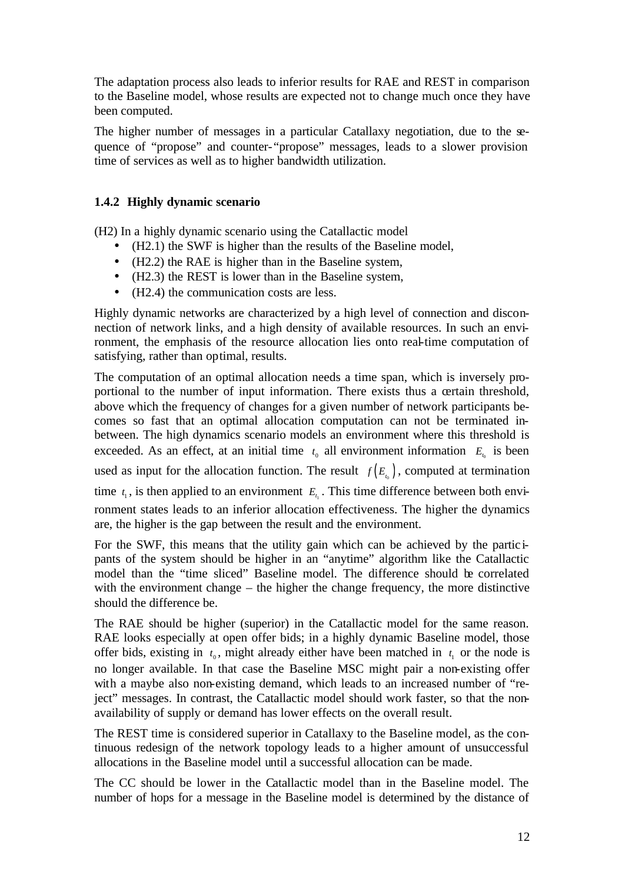The adaptation process also leads to inferior results for RAE and REST in comparison to the Baseline model, whose results are expected not to change much once they have been computed.

The higher number of messages in a particular Catallaxy negotiation, due to the sequence of "propose" and counter-"propose" messages, leads to a slower provision time of services as well as to higher bandwidth utilization.

## **1.4.2 Highly dynamic scenario**

(H2) In a highly dynamic scenario using the Catallactic model

- (H2.1) the SWF is higher than the results of the Baseline model,
- (H2.2) the RAE is higher than in the Baseline system,
- (H2.3) the REST is lower than in the Baseline system,
- (H2.4) the communication costs are less.

Highly dynamic networks are characterized by a high level of connection and disconnection of network links, and a high density of available resources. In such an environment, the emphasis of the resource allocation lies onto real-time computation of satisfying, rather than optimal, results.

The computation of an optimal allocation needs a time span, which is inversely proportional to the number of input information. There exists thus a certain threshold, above which the frequency of changes for a given number of network participants becomes so fast that an optimal allocation computation can not be terminated inbetween. The high dynamics scenario models an environment where this threshold is exceeded. As an effect, at an initial time  $t_0$  all environment information  $E_{t_0}$  is been used as input for the allocation function. The result  $f(E_{t_0})$ , computed at termination time  $t_1$ , is then applied to an environment  $E_{t_1}$ . This time difference between both environment states leads to an inferior allocation effectiveness. The higher the dynamics are, the higher is the gap between the result and the environment.

For the SWF, this means that the utility gain which can be achieved by the partic ipants of the system should be higher in an "anytime" algorithm like the Catallactic model than the "time sliced" Baseline model. The difference should be correlated with the environment change – the higher the change frequency, the more distinctive should the difference be.

The RAE should be higher (superior) in the Catallactic model for the same reason. RAE looks especially at open offer bids; in a highly dynamic Baseline model, those offer bids, existing in  $t_0$ , might already either have been matched in  $t_1$  or the node is no longer available. In that case the Baseline MSC might pair a non-existing offer with a maybe also non-existing demand, which leads to an increased number of "reject" messages. In contrast, the Catallactic model should work faster, so that the nonavailability of supply or demand has lower effects on the overall result.

The REST time is considered superior in Catallaxy to the Baseline model, as the continuous redesign of the network topology leads to a higher amount of unsuccessful allocations in the Baseline model until a successful allocation can be made.

The CC should be lower in the Catallactic model than in the Baseline model. The number of hops for a message in the Baseline model is determined by the distance of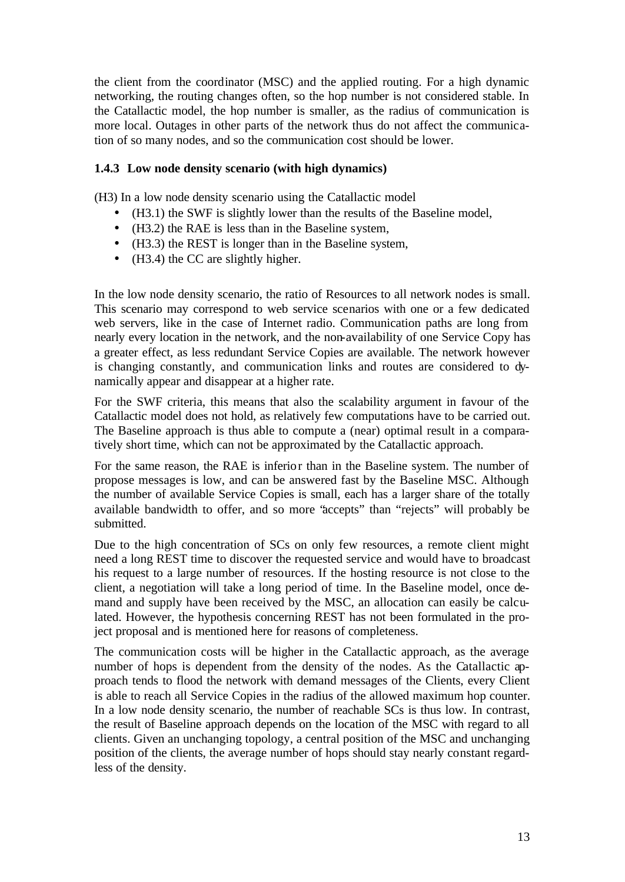the client from the coordinator (MSC) and the applied routing. For a high dynamic networking, the routing changes often, so the hop number is not considered stable. In the Catallactic model, the hop number is smaller, as the radius of communication is more local. Outages in other parts of the network thus do not affect the communication of so many nodes, and so the communication cost should be lower.

## **1.4.3 Low node density scenario (with high dynamics)**

(H3) In a low node density scenario using the Catallactic model

- (H3.1) the SWF is slightly lower than the results of the Baseline model,
- (H3.2) the RAE is less than in the Baseline system,
- (H3.3) the REST is longer than in the Baseline system,
- (H3.4) the CC are slightly higher.

In the low node density scenario, the ratio of Resources to all network nodes is small. This scenario may correspond to web service scenarios with one or a few dedicated web servers, like in the case of Internet radio. Communication paths are long from nearly every location in the network, and the non-availability of one Service Copy has a greater effect, as less redundant Service Copies are available. The network however is changing constantly, and communication links and routes are considered to dynamically appear and disappear at a higher rate.

For the SWF criteria, this means that also the scalability argument in favour of the Catallactic model does not hold, as relatively few computations have to be carried out. The Baseline approach is thus able to compute a (near) optimal result in a comparatively short time, which can not be approximated by the Catallactic approach.

For the same reason, the RAE is inferior than in the Baseline system. The number of propose messages is low, and can be answered fast by the Baseline MSC. Although the number of available Service Copies is small, each has a larger share of the totally available bandwidth to offer, and so more "accepts" than "rejects" will probably be submitted.

Due to the high concentration of SCs on only few resources, a remote client might need a long REST time to discover the requested service and would have to broadcast his request to a large number of resources. If the hosting resource is not close to the client, a negotiation will take a long period of time. In the Baseline model, once demand and supply have been received by the MSC, an allocation can easily be calculated. However, the hypothesis concerning REST has not been formulated in the project proposal and is mentioned here for reasons of completeness.

The communication costs will be higher in the Catallactic approach, as the average number of hops is dependent from the density of the nodes. As the Catallactic approach tends to flood the network with demand messages of the Clients, every Client is able to reach all Service Copies in the radius of the allowed maximum hop counter. In a low node density scenario, the number of reachable SCs is thus low. In contrast, the result of Baseline approach depends on the location of the MSC with regard to all clients. Given an unchanging topology, a central position of the MSC and unchanging position of the clients, the average number of hops should stay nearly constant regardless of the density.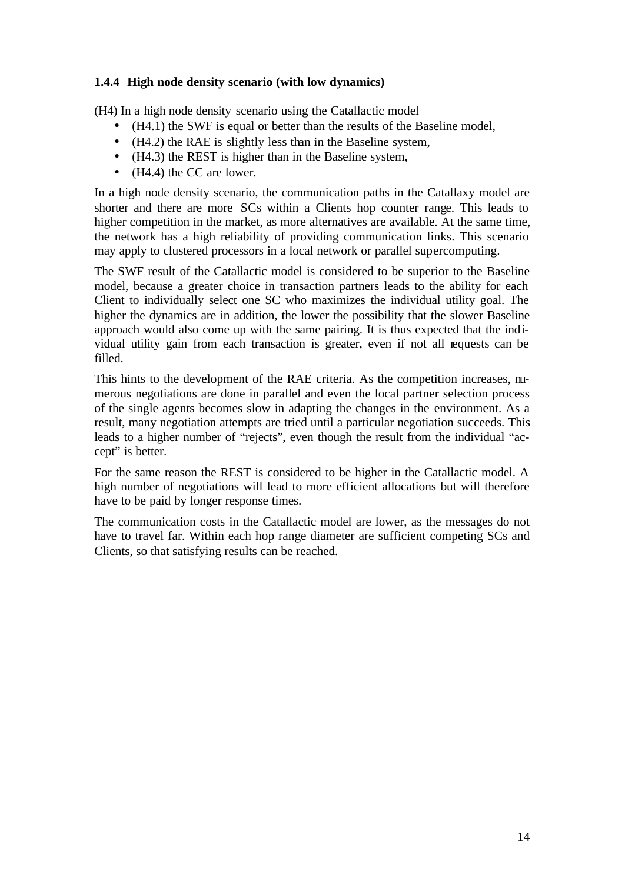## **1.4.4 High node density scenario (with low dynamics)**

(H4) In a high node density scenario using the Catallactic model

- (H4.1) the SWF is equal or better than the results of the Baseline model,
- (H4.2) the RAE is slightly less than in the Baseline system,
- (H4.3) the REST is higher than in the Baseline system,
- (H4.4) the CC are lower.

In a high node density scenario, the communication paths in the Catallaxy model are shorter and there are more SCs within a Clients hop counter range. This leads to higher competition in the market, as more alternatives are available. At the same time, the network has a high reliability of providing communication links. This scenario may apply to clustered processors in a local network or parallel supercomputing.

The SWF result of the Catallactic model is considered to be superior to the Baseline model, because a greater choice in transaction partners leads to the ability for each Client to individually select one SC who maximizes the individual utility goal. The higher the dynamics are in addition, the lower the possibility that the slower Baseline approach would also come up with the same pairing. It is thus expected that the individual utility gain from each transaction is greater, even if not all requests can be filled.

This hints to the development of the RAE criteria. As the competition increases, numerous negotiations are done in parallel and even the local partner selection process of the single agents becomes slow in adapting the changes in the environment. As a result, many negotiation attempts are tried until a particular negotiation succeeds. This leads to a higher number of "rejects", even though the result from the individual "accept" is better.

For the same reason the REST is considered to be higher in the Catallactic model. A high number of negotiations will lead to more efficient allocations but will therefore have to be paid by longer response times.

The communication costs in the Catallactic model are lower, as the messages do not have to travel far. Within each hop range diameter are sufficient competing SCs and Clients, so that satisfying results can be reached.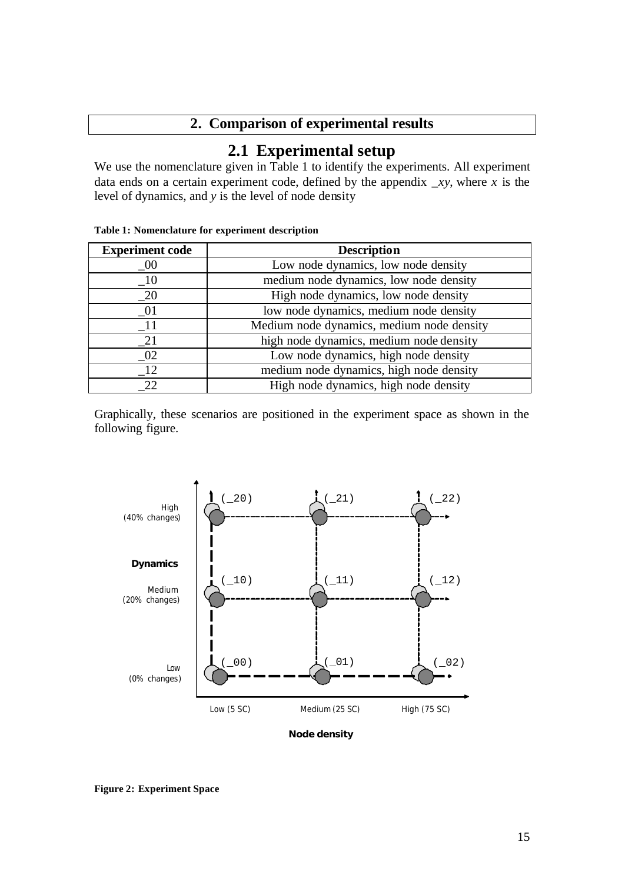## **2. Comparison of experimental results**

# **2.1 Experimental setup**

We use the nomenclature given in Table 1 to identify the experiments. All experiment data ends on a certain experiment code, defined by the appendix *\_xy*, where *x* is the level of dynamics, and *y* is the level of node density

| <b>Experiment code</b>      | <b>Description</b>                        |
|-----------------------------|-------------------------------------------|
| $_{.00}$                    | Low node dynamics, low node density       |
| $\overline{\phantom{0}}$ 10 | medium node dynamics, low node density    |
| $\overline{20}$             | High node dynamics, low node density      |
| $\_01$                      | low node dynamics, medium node density    |
| $\_11$                      | Medium node dynamics, medium node density |
| 21                          | high node dynamics, medium node density   |
| 02                          | Low node dynamics, high node density      |
| 12                          | medium node dynamics, high node density   |
| 22                          | High node dynamics, high node density     |

**Table 1: Nomenclature for experiment description**

Graphically, these scenarios are positioned in the experiment space as shown in the following figure.



**Node density**

**Figure 2: Experiment Space**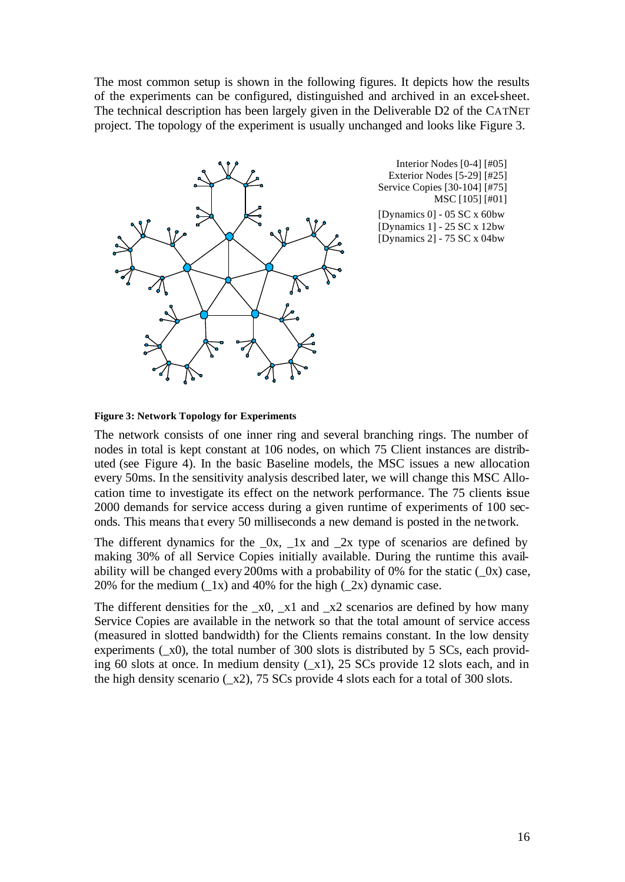The most common setup is shown in the following figures. It depicts how the results of the experiments can be configured, distinguished and archived in an excel-sheet. The technical description has been largely given in the Deliverable D2 of the CATNET project. The topology of the experiment is usually unchanged and looks like Figure 3.



Interior Nodes [0-4] [#05] Exterior Nodes [5-29] [#25] Service Copies [30-104] [#75] MSC [105] [#01]

[Dynamics 0] - 05 SC x 60bw [Dynamics 1] - 25 SC x 12bw [Dynamics 2] - 75 SC x 04bw

#### **Figure 3: Network Topology for Experiments**

The network consists of one inner ring and several branching rings. The number of nodes in total is kept constant at 106 nodes, on which 75 Client instances are distributed (see Figure 4). In the basic Baseline models, the MSC issues a new allocation every 50ms. In the sensitivity analysis described later, we will change this MSC Allocation time to investigate its effect on the network performance. The 75 clients issue 2000 demands for service access during a given runtime of experiments of 100 seconds. This means that every 50 milliseconds a new demand is posted in the ne twork.

The different dynamics for the  $\alpha$ ,  $\alpha$ ,  $\alpha$  and  $\alpha$  are type of scenarios are defined by making 30% of all Service Copies initially available. During the runtime this availability will be changed every 200ms with a probability of 0% for the static  $(0x)$  case, 20% for the medium  $(\_1x)$  and 40% for the high  $(\_2x)$  dynamic case.

The different densities for the  $_x0$ ,  $_x1$  and  $_x2$  scenarios are defined by how many Service Copies are available in the network so that the total amount of service access (measured in slotted bandwidth) for the Clients remains constant. In the low density experiments  $(x0)$ , the total number of 300 slots is distributed by 5 SCs, each providing 60 slots at once. In medium density  $(x1)$ , 25 SCs provide 12 slots each, and in the high density scenario  $(x2)$ , 75 SCs provide 4 slots each for a total of 300 slots.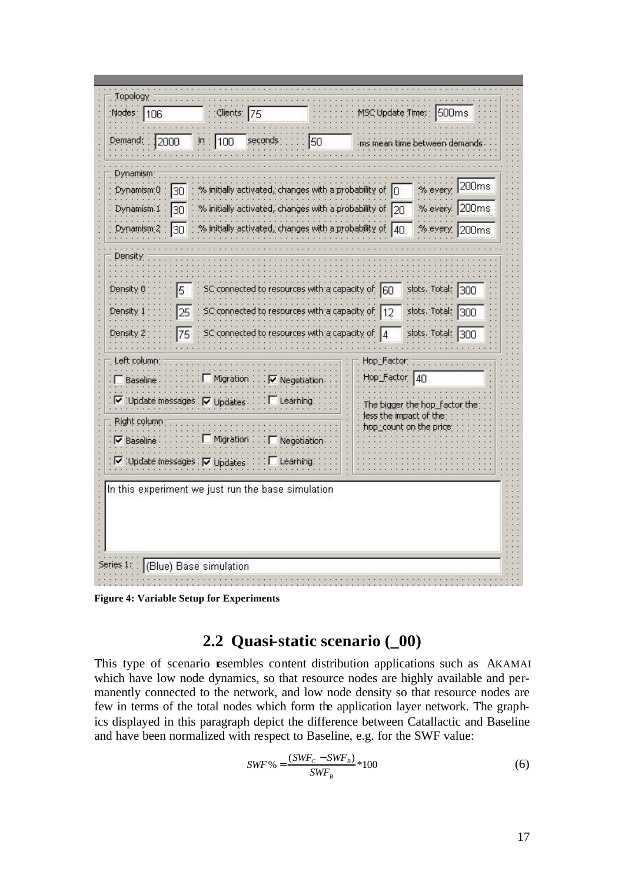

**Figure 4: Variable Setup for Experiments**

## **2.2 Quasi-static scenario (\_00)**

This type of scenario **e**sembles content distribution applications such as AKAMAI which have low node dynamics, so that resource nodes are highly available and permanently connected to the network, and low node density so that resource nodes are few in terms of the total nodes which form the application layer network. The graphics displayed in this paragraph depict the difference between Catallactic and Baseline and have been normalized with respect to Baseline, e.g. for the SWF value:

$$
SWF\% = \frac{(SWF_c - SWF_B)}{SWF_B} * 100\tag{6}
$$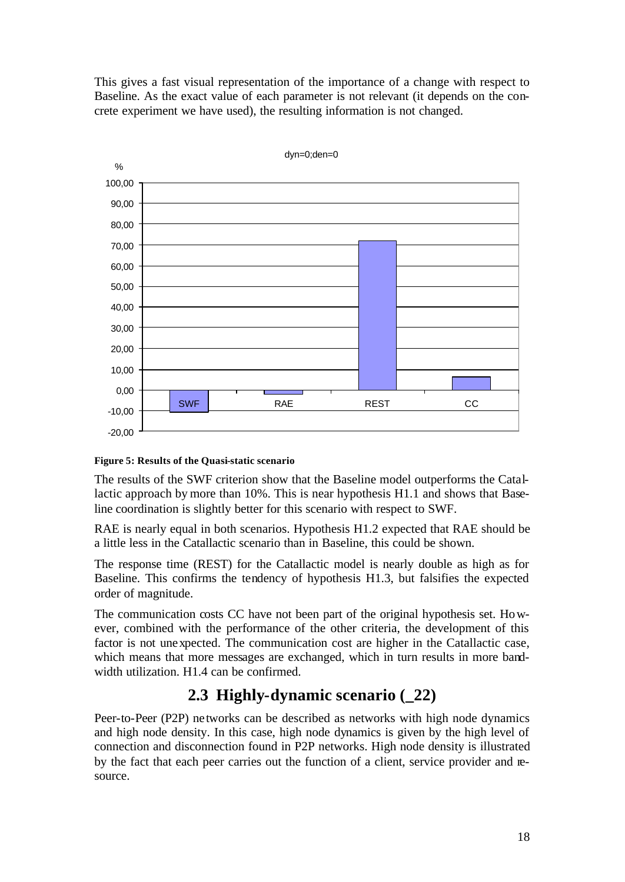This gives a fast visual representation of the importance of a change with respect to Baseline. As the exact value of each parameter is not relevant (it depends on the concrete experiment we have used), the resulting information is not changed.



### **Figure 5: Results of the Quasi-static scenario**

The results of the SWF criterion show that the Baseline model outperforms the Catallactic approach by more than 10%. This is near hypothesis H1.1 and shows that Baseline coordination is slightly better for this scenario with respect to SWF.

RAE is nearly equal in both scenarios. Hypothesis H1.2 expected that RAE should be a little less in the Catallactic scenario than in Baseline, this could be shown.

The response time (REST) for the Catallactic model is nearly double as high as for Baseline. This confirms the tendency of hypothesis H1.3, but falsifies the expected order of magnitude.

The communication costs CC have not been part of the original hypothesis set. However, combined with the performance of the other criteria, the development of this factor is not unexpected. The communication cost are higher in the Catallactic case, which means that more messages are exchanged, which in turn results in more bandwidth utilization. H1.4 can be confirmed.

## **2.3 Highly-dynamic scenario (\_22)**

Peer-to-Peer (P2P) networks can be described as networks with high node dynamics and high node density. In this case, high node dynamics is given by the high level of connection and disconnection found in P2P networks. High node density is illustrated by the fact that each peer carries out the function of a client, service provider and resource.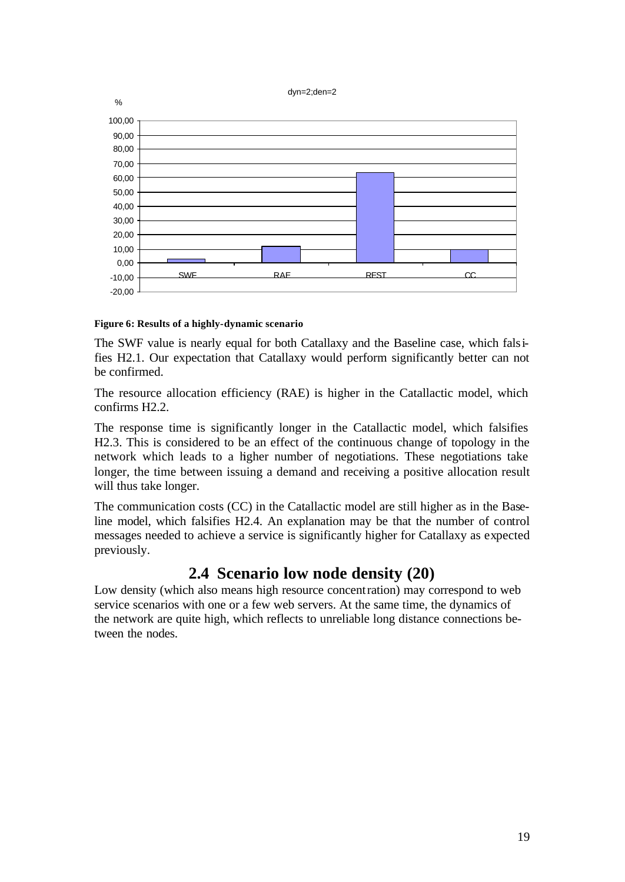#### dyn=2;den=2



#### **Figure 6: Results of a highly-dynamic scenario**

The SWF value is nearly equal for both Catallaxy and the Baseline case, which falsifies H2.1. Our expectation that Catallaxy would perform significantly better can not be confirmed.

The resource allocation efficiency (RAE) is higher in the Catallactic model, which confirms H2.2.

The response time is significantly longer in the Catallactic model, which falsifies H2.3. This is considered to be an effect of the continuous change of topology in the network which leads to a higher number of negotiations. These negotiations take longer, the time between issuing a demand and receiving a positive allocation result will thus take longer.

The communication costs (CC) in the Catallactic model are still higher as in the Baseline model, which falsifies H2.4. An explanation may be that the number of control messages needed to achieve a service is significantly higher for Catallaxy as expected previously.

## **2.4 Scenario low node density (20)**

Low density (which also means high resource concentration) may correspond to web service scenarios with one or a few web servers. At the same time, the dynamics of the network are quite high, which reflects to unreliable long distance connections between the nodes.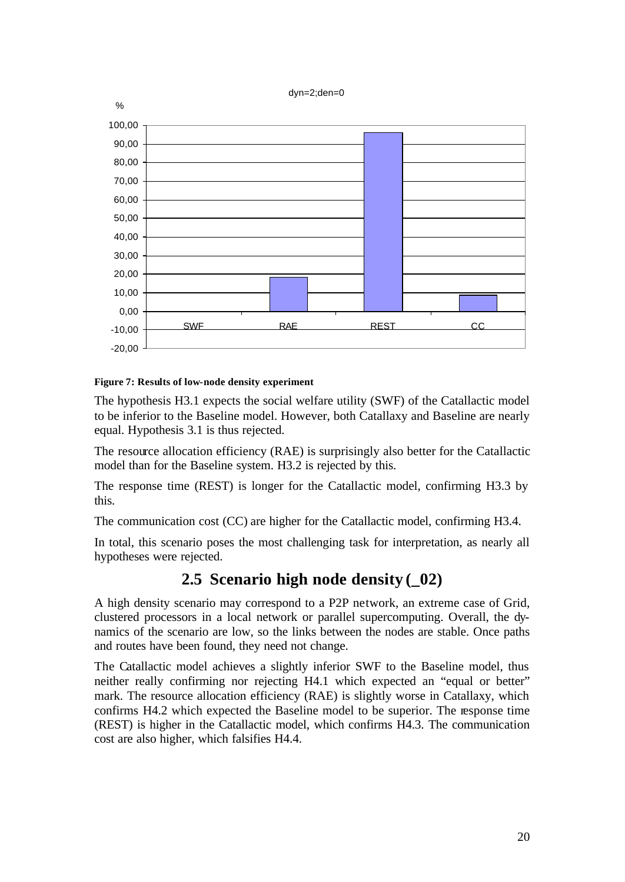#### dyn=2;den=0



### **Figure 7: Results of low-node density experiment**

The hypothesis H3.1 expects the social welfare utility (SWF) of the Catallactic model to be inferior to the Baseline model. However, both Catallaxy and Baseline are nearly equal. Hypothesis 3.1 is thus rejected.

The resource allocation efficiency (RAE) is surprisingly also better for the Catallactic model than for the Baseline system. H3.2 is rejected by this.

The response time (REST) is longer for the Catallactic model, confirming H3.3 by this.

The communication cost (CC) are higher for the Catallactic model, confirming H3.4.

In total, this scenario poses the most challenging task for interpretation, as nearly all hypotheses were rejected.

## **2.5 Scenario high node density (\_02)**

A high density scenario may correspond to a P2P network, an extreme case of Grid, clustered processors in a local network or parallel supercomputing. Overall, the dynamics of the scenario are low, so the links between the nodes are stable. Once paths and routes have been found, they need not change.

The Catallactic model achieves a slightly inferior SWF to the Baseline model, thus neither really confirming nor rejecting H4.1 which expected an "equal or better" mark. The resource allocation efficiency (RAE) is slightly worse in Catallaxy, which confirms H4.2 which expected the Baseline model to be superior. The response time (REST) is higher in the Catallactic model, which confirms H4.3. The communication cost are also higher, which falsifies H4.4.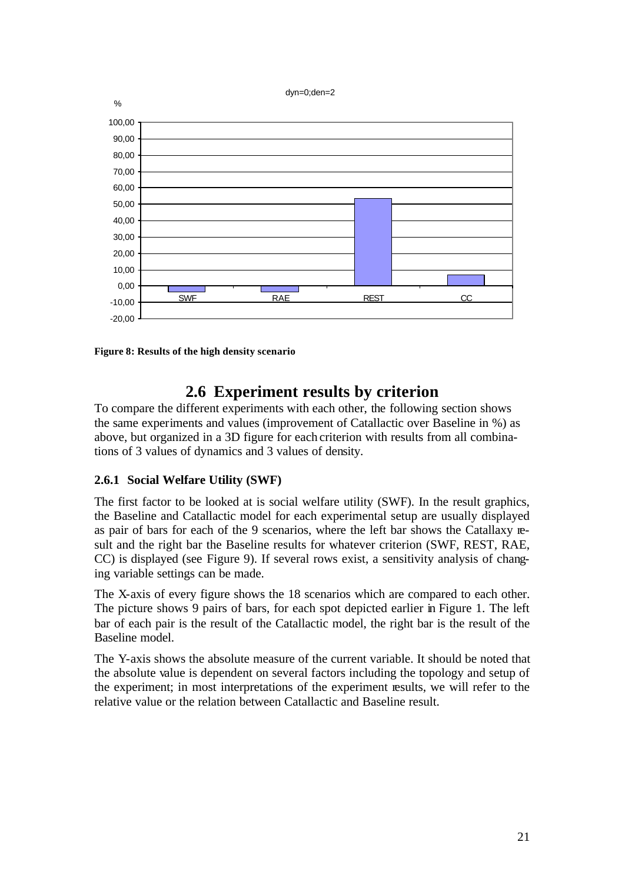#### dyn=0;den=2



**Figure 8: Results of the high density scenario**

## **2.6 Experiment results by criterion**

To compare the different experiments with each other, the following section shows the same experiments and values (improvement of Catallactic over Baseline in %) as above, but organized in a 3D figure for each criterion with results from all combinations of 3 values of dynamics and 3 values of density.

### **2.6.1 Social Welfare Utility (SWF)**

The first factor to be looked at is social welfare utility (SWF). In the result graphics, the Baseline and Catallactic model for each experimental setup are usually displayed as pair of bars for each of the 9 scenarios, where the left bar shows the Catallaxy result and the right bar the Baseline results for whatever criterion (SWF, REST, RAE, CC) is displayed (see Figure 9). If several rows exist, a sensitivity analysis of changing variable settings can be made.

The X-axis of every figure shows the 18 scenarios which are compared to each other. The picture shows 9 pairs of bars, for each spot depicted earlier in Figure 1. The left bar of each pair is the result of the Catallactic model, the right bar is the result of the Baseline model.

The Y-axis shows the absolute measure of the current variable. It should be noted that the absolute value is dependent on several factors including the topology and setup of the experiment; in most interpretations of the experiment results, we will refer to the relative value or the relation between Catallactic and Baseline result.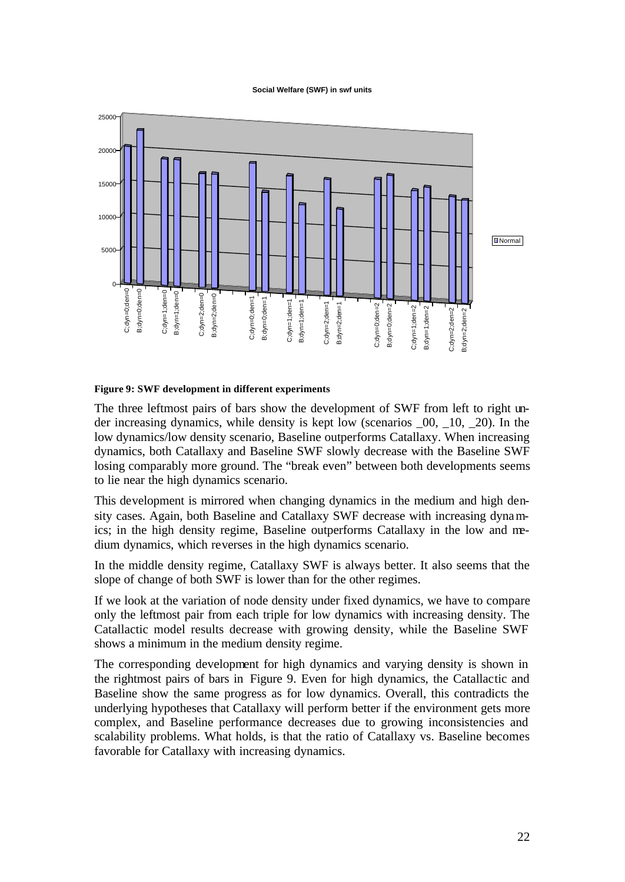#### **Social Welfare (SWF) in swf units**



#### **Figure 9: SWF development in different experiments**

The three leftmost pairs of bars show the development of SWF from left to right under increasing dynamics, while density is kept low (scenarios \_00, \_10, \_20). In the low dynamics/low density scenario, Baseline outperforms Catallaxy. When increasing dynamics, both Catallaxy and Baseline SWF slowly decrease with the Baseline SWF losing comparably more ground. The "break even" between both developments seems to lie near the high dynamics scenario.

This development is mirrored when changing dynamics in the medium and high density cases. Again, both Baseline and Catallaxy SWF decrease with increasing dynamics; in the high density regime, Baseline outperforms Catallaxy in the low and medium dynamics, which reverses in the high dynamics scenario.

In the middle density regime, Catallaxy SWF is always better. It also seems that the slope of change of both SWF is lower than for the other regimes.

If we look at the variation of node density under fixed dynamics, we have to compare only the leftmost pair from each triple for low dynamics with increasing density. The Catallactic model results decrease with growing density, while the Baseline SWF shows a minimum in the medium density regime.

The corresponding development for high dynamics and varying density is shown in the rightmost pairs of bars in Figure 9. Even for high dynamics, the Catallactic and Baseline show the same progress as for low dynamics. Overall, this contradicts the underlying hypotheses that Catallaxy will perform better if the environment gets more complex, and Baseline performance decreases due to growing inconsistencies and scalability problems. What holds, is that the ratio of Catallaxy vs. Baseline becomes favorable for Catallaxy with increasing dynamics.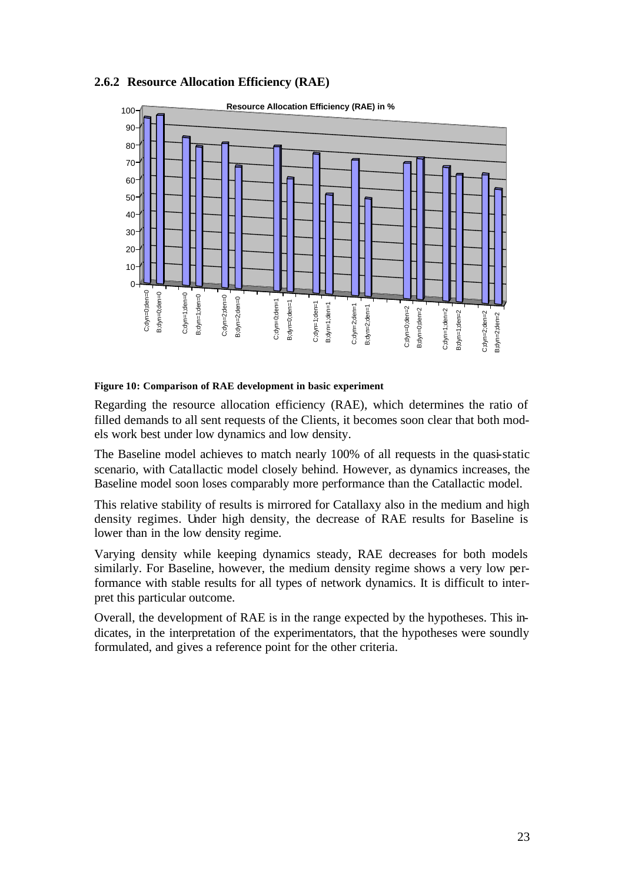### **2.6.2 Resource Allocation Efficiency (RAE)**



### **Figure 10: Comparison of RAE development in basic experiment**

Regarding the resource allocation efficiency (RAE), which determines the ratio of filled demands to all sent requests of the Clients, it becomes soon clear that both models work best under low dynamics and low density.

The Baseline model achieves to match nearly 100% of all requests in the quasi-static scenario, with Catallactic model closely behind. However, as dynamics increases, the Baseline model soon loses comparably more performance than the Catallactic model.

This relative stability of results is mirrored for Catallaxy also in the medium and high density regimes. Under high density, the decrease of RAE results for Baseline is lower than in the low density regime.

Varying density while keeping dynamics steady, RAE decreases for both models similarly. For Baseline, however, the medium density regime shows a very low performance with stable results for all types of network dynamics. It is difficult to interpret this particular outcome.

Overall, the development of RAE is in the range expected by the hypotheses. This indicates, in the interpretation of the experimentators, that the hypotheses were soundly formulated, and gives a reference point for the other criteria.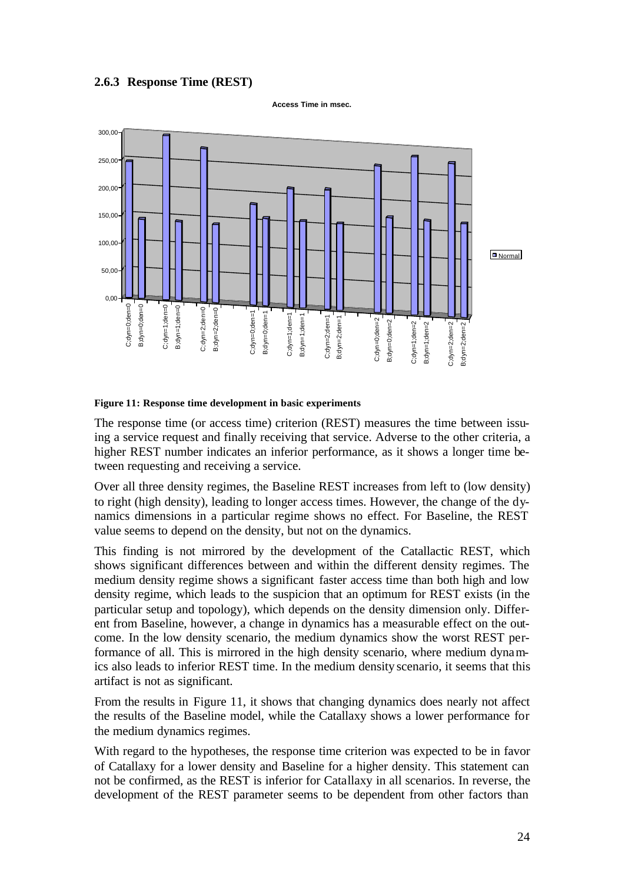### **2.6.3 Response Time (REST)**



**Access Time in msec.**

#### **Figure 11: Response time development in basic experiments**

The response time (or access time) criterion (REST) measures the time between issuing a service request and finally receiving that service. Adverse to the other criteria, a higher REST number indicates an inferior performance, as it shows a longer time between requesting and receiving a service.

Over all three density regimes, the Baseline REST increases from left to (low density) to right (high density), leading to longer access times. However, the change of the dynamics dimensions in a particular regime shows no effect. For Baseline, the REST value seems to depend on the density, but not on the dynamics.

This finding is not mirrored by the development of the Catallactic REST, which shows significant differences between and within the different density regimes. The medium density regime shows a significant faster access time than both high and low density regime, which leads to the suspicion that an optimum for REST exists (in the particular setup and topology), which depends on the density dimension only. Different from Baseline, however, a change in dynamics has a measurable effect on the outcome. In the low density scenario, the medium dynamics show the worst REST performance of all. This is mirrored in the high density scenario, where medium dynamics also leads to inferior REST time. In the medium density scenario, it seems that this artifact is not as significant.

From the results in Figure 11, it shows that changing dynamics does nearly not affect the results of the Baseline model, while the Catallaxy shows a lower performance for the medium dynamics regimes.

With regard to the hypotheses, the response time criterion was expected to be in favor of Catallaxy for a lower density and Baseline for a higher density. This statement can not be confirmed, as the REST is inferior for Catallaxy in all scenarios. In reverse, the development of the REST parameter seems to be dependent from other factors than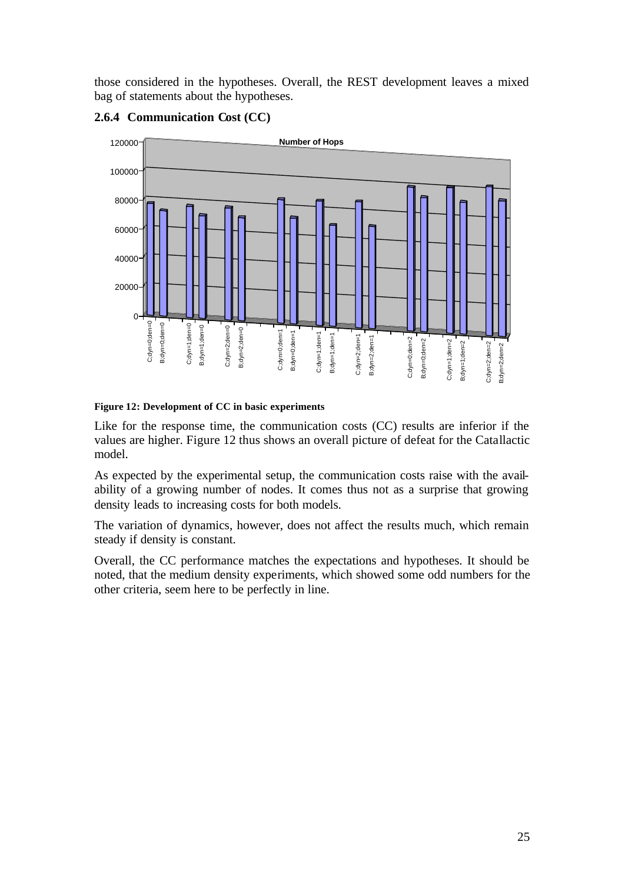those considered in the hypotheses. Overall, the REST development leaves a mixed bag of statements about the hypotheses.



## **2.6.4 Communication Cost (CC)**

**Figure 12: Development of CC in basic experiments**

Like for the response time, the communication costs (CC) results are inferior if the values are higher. Figure 12 thus shows an overall picture of defeat for the Catallactic model.

As expected by the experimental setup, the communication costs raise with the availability of a growing number of nodes. It comes thus not as a surprise that growing density leads to increasing costs for both models.

The variation of dynamics, however, does not affect the results much, which remain steady if density is constant.

Overall, the CC performance matches the expectations and hypotheses. It should be noted, that the medium density experiments, which showed some odd numbers for the other criteria, seem here to be perfectly in line.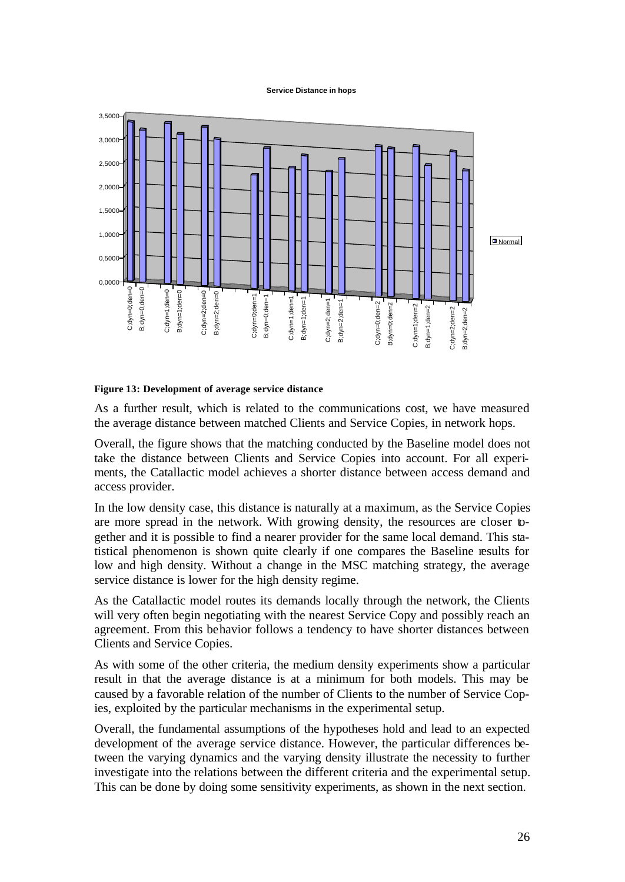#### **Service Distance in hops**



#### **Figure 13: Development of average service distance**

As a further result, which is related to the communications cost, we have measured the average distance between matched Clients and Service Copies, in network hops.

Overall, the figure shows that the matching conducted by the Baseline model does not take the distance between Clients and Service Copies into account. For all experiments, the Catallactic model achieves a shorter distance between access demand and access provider.

In the low density case, this distance is naturally at a maximum, as the Service Copies are more spread in the network. With growing density, the resources are closer together and it is possible to find a nearer provider for the same local demand. This statistical phenomenon is shown quite clearly if one compares the Baseline results for low and high density. Without a change in the MSC matching strategy, the average service distance is lower for the high density regime.

As the Catallactic model routes its demands locally through the network, the Clients will very often begin negotiating with the nearest Service Copy and possibly reach an agreement. From this behavior follows a tendency to have shorter distances between Clients and Service Copies.

As with some of the other criteria, the medium density experiments show a particular result in that the average distance is at a minimum for both models. This may be caused by a favorable relation of the number of Clients to the number of Service Copies, exploited by the particular mechanisms in the experimental setup.

Overall, the fundamental assumptions of the hypotheses hold and lead to an expected development of the average service distance. However, the particular differences between the varying dynamics and the varying density illustrate the necessity to further investigate into the relations between the different criteria and the experimental setup. This can be done by doing some sensitivity experiments, as shown in the next section.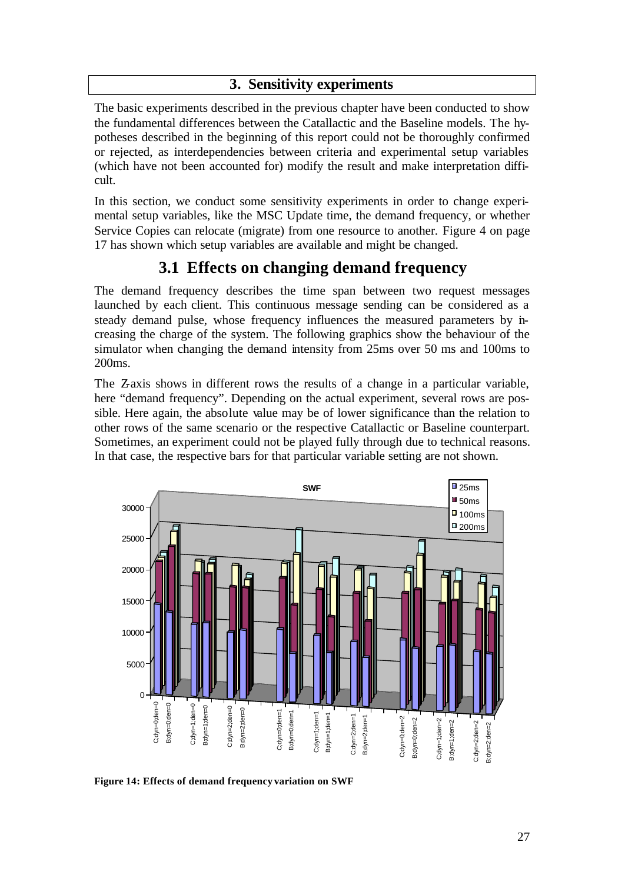## **3. Sensitivity experiments**

The basic experiments described in the previous chapter have been conducted to show the fundamental differences between the Catallactic and the Baseline models. The hypotheses described in the beginning of this report could not be thoroughly confirmed or rejected, as interdependencies between criteria and experimental setup variables (which have not been accounted for) modify the result and make interpretation difficult.

In this section, we conduct some sensitivity experiments in order to change experimental setup variables, like the MSC Update time, the demand frequency, or whether Service Copies can relocate (migrate) from one resource to another. Figure 4 on page 17 has shown which setup variables are available and might be changed.

# **3.1 Effects on changing demand frequency**

The demand frequency describes the time span between two request messages launched by each client. This continuous message sending can be considered as a steady demand pulse, whose frequency influences the measured parameters by increasing the charge of the system. The following graphics show the behaviour of the simulator when changing the demand intensity from 25ms over 50 ms and 100ms to 200ms.

The Zaxis shows in different rows the results of a change in a particular variable, here "demand frequency". Depending on the actual experiment, several rows are possible. Here again, the absolute value may be of lower significance than the relation to other rows of the same scenario or the respective Catallactic or Baseline counterpart. Sometimes, an experiment could not be played fully through due to technical reasons. In that case, the respective bars for that particular variable setting are not shown.



**Figure 14: Effects of demand frequency variation on SWF**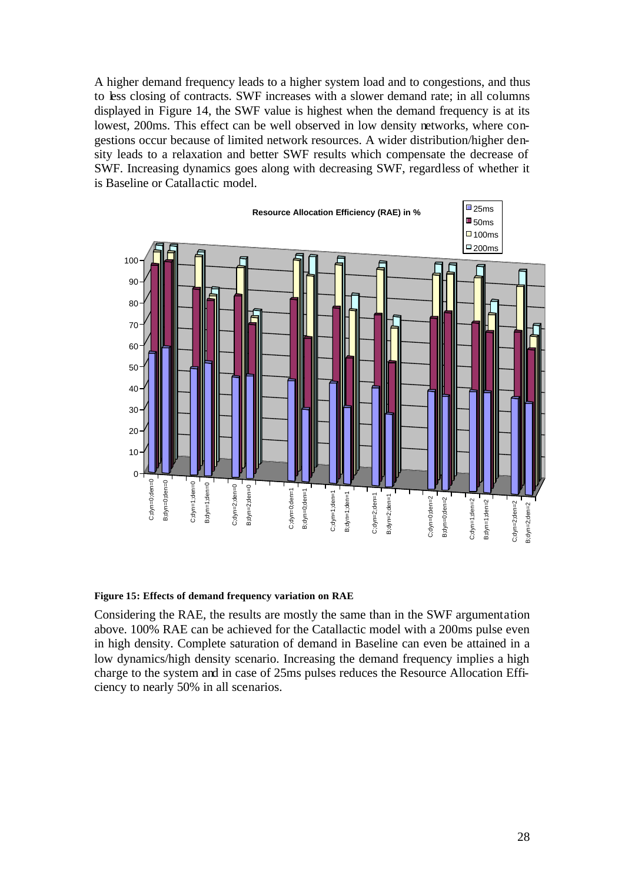A higher demand frequency leads to a higher system load and to congestions, and thus to less closing of contracts. SWF increases with a slower demand rate; in all columns displayed in Figure 14, the SWF value is highest when the demand frequency is at its lowest, 200ms. This effect can be well observed in low density networks, where congestions occur because of limited network resources. A wider distribution/higher density leads to a relaxation and better SWF results which compensate the decrease of SWF. Increasing dynamics goes along with decreasing SWF, regardless of whether it is Baseline or Catallactic model.



#### **Figure 15: Effects of demand frequency variation on RAE**

Considering the RAE, the results are mostly the same than in the SWF argumentation above. 100% RAE can be achieved for the Catallactic model with a 200ms pulse even in high density. Complete saturation of demand in Baseline can even be attained in a low dynamics/high density scenario. Increasing the demand frequency implies a high charge to the system and in case of 25ms pulses reduces the Resource Allocation Efficiency to nearly 50% in all scenarios.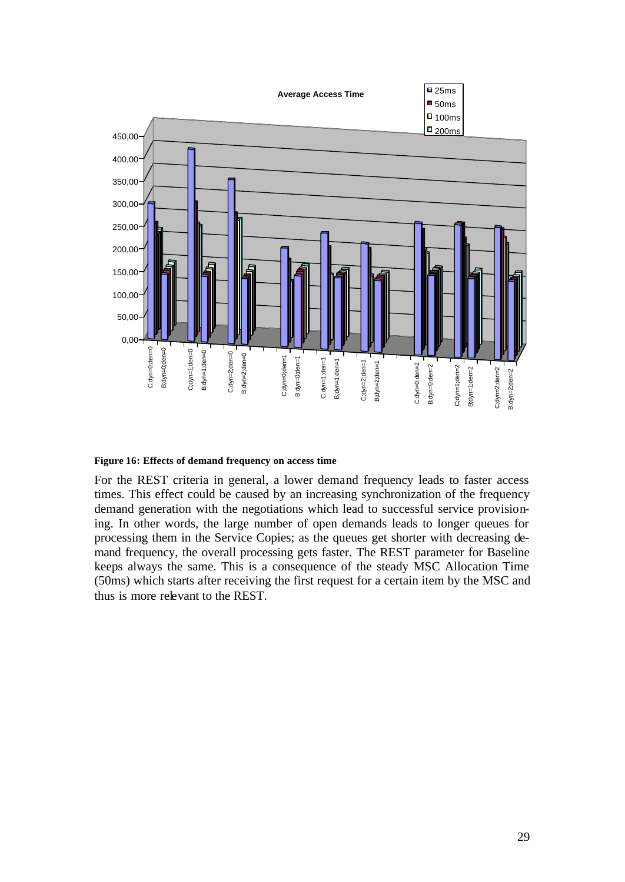

#### **Figure 16: Effects of demand frequency on access time**

For the REST criteria in general, a lower demand frequency leads to faster access times. This effect could be caused by an increasing synchronization of the frequency demand generation with the negotiations which lead to successful service provisioning. In other words, the large number of open demands leads to longer queues for processing them in the Service Copies; as the queues get shorter with decreasing demand frequency, the overall processing gets faster. The REST parameter for Baseline keeps always the same. This is a consequence of the steady MSC Allocation Time (50ms) which starts after receiving the first request for a certain item by the MSC and thus is more relevant to the REST.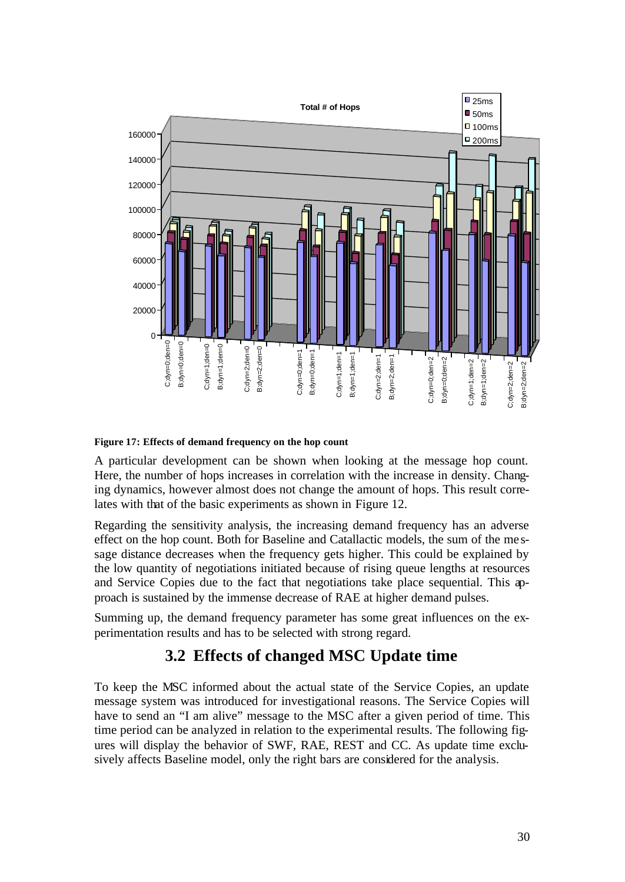

### **Figure 17: Effects of demand frequency on the hop count**

A particular development can be shown when looking at the message hop count. Here, the number of hops increases in correlation with the increase in density. Changing dynamics, however almost does not change the amount of hops. This result correlates with that of the basic experiments as shown in Figure 12.

Regarding the sensitivity analysis, the increasing demand frequency has an adverse effect on the hop count. Both for Baseline and Catallactic models, the sum of the me ssage distance decreases when the frequency gets higher. This could be explained by the low quantity of negotiations initiated because of rising queue lengths at resources and Service Copies due to the fact that negotiations take place sequential. This approach is sustained by the immense decrease of RAE at higher demand pulses.

Summing up, the demand frequency parameter has some great influences on the experimentation results and has to be selected with strong regard.

## **3.2 Effects of changed MSC Update time**

To keep the MSC informed about the actual state of the Service Copies, an update message system was introduced for investigational reasons. The Service Copies will have to send an "I am alive" message to the MSC after a given period of time. This time period can be analyzed in relation to the experimental results. The following figures will display the behavior of SWF, RAE, REST and CC. As update time exclusively affects Baseline model, only the right bars are considered for the analysis.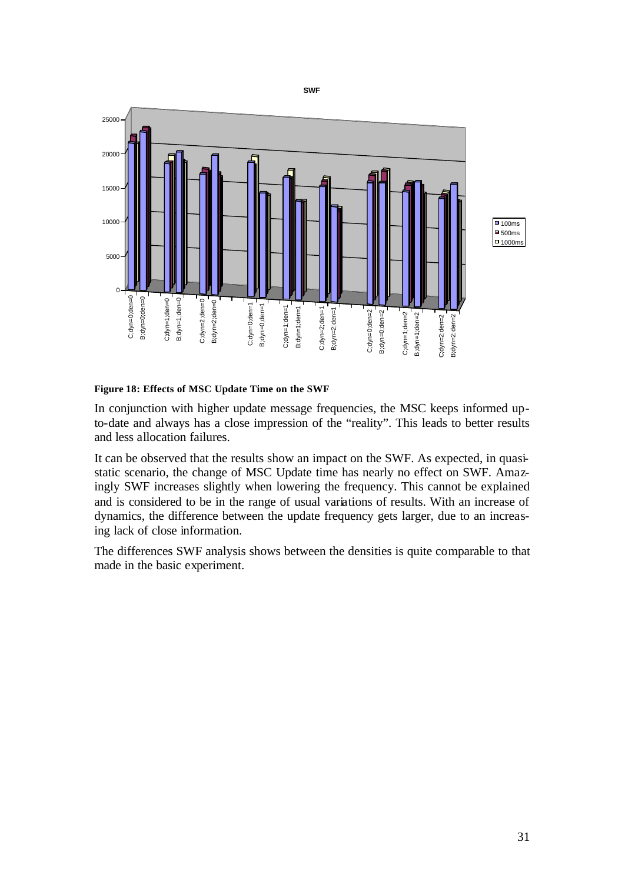

### **Figure 18: Effects of MSC Update Time on the SWF**

In conjunction with higher update message frequencies, the MSC keeps informed upto-date and always has a close impression of the "reality". This leads to better results and less allocation failures.

It can be observed that the results show an impact on the SWF. As expected, in quasistatic scenario, the change of MSC Update time has nearly no effect on SWF. Amazingly SWF increases slightly when lowering the frequency. This cannot be explained and is considered to be in the range of usual variations of results. With an increase of dynamics, the difference between the update frequency gets larger, due to an increasing lack of close information.

The differences SWF analysis shows between the densities is quite comparable to that made in the basic experiment.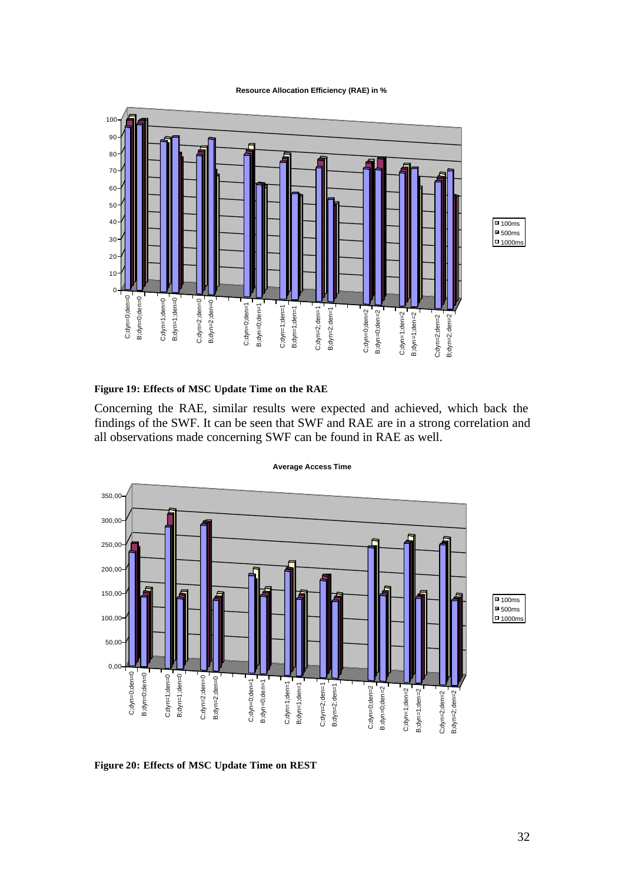#### **Resource Allocation Efficiency (RAE) in %**



### **Figure 19: Effects of MSC Update Time on the RAE**

Concerning the RAE, similar results were expected and achieved, which back the findings of the SWF. It can be seen that SWF and RAE are in a strong correlation and all observations made concerning SWF can be found in RAE as well.



#### **Average Access Time**

**Figure 20: Effects of MSC Update Time on REST**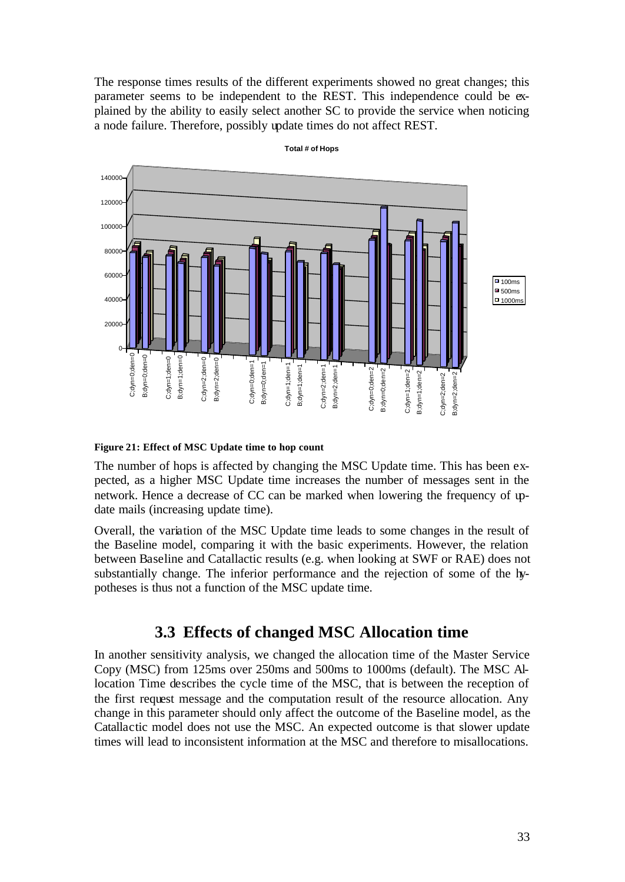The response times results of the different experiments showed no great changes; this parameter seems to be independent to the REST. This independence could be explained by the ability to easily select another SC to provide the service when noticing a node failure. Therefore, possibly update times do not affect REST.



**Total # of Hops**

**Figure 21: Effect of MSC Update time to hop count**

The number of hops is affected by changing the MSC Update time. This has been expected, as a higher MSC Update time increases the number of messages sent in the network. Hence a decrease of CC can be marked when lowering the frequency of update mails (increasing update time).

Overall, the variation of the MSC Update time leads to some changes in the result of the Baseline model, comparing it with the basic experiments. However, the relation between Baseline and Catallactic results (e.g. when looking at SWF or RAE) does not substantially change. The inferior performance and the rejection of some of the hypotheses is thus not a function of the MSC update time.

## **3.3 Effects of changed MSC Allocation time**

In another sensitivity analysis, we changed the allocation time of the Master Service Copy (MSC) from 125ms over 250ms and 500ms to 1000ms (default). The MSC Allocation Time describes the cycle time of the MSC, that is between the reception of the first request message and the computation result of the resource allocation. Any change in this parameter should only affect the outcome of the Baseline model, as the Catallactic model does not use the MSC. An expected outcome is that slower update times will lead to inconsistent information at the MSC and therefore to misallocations.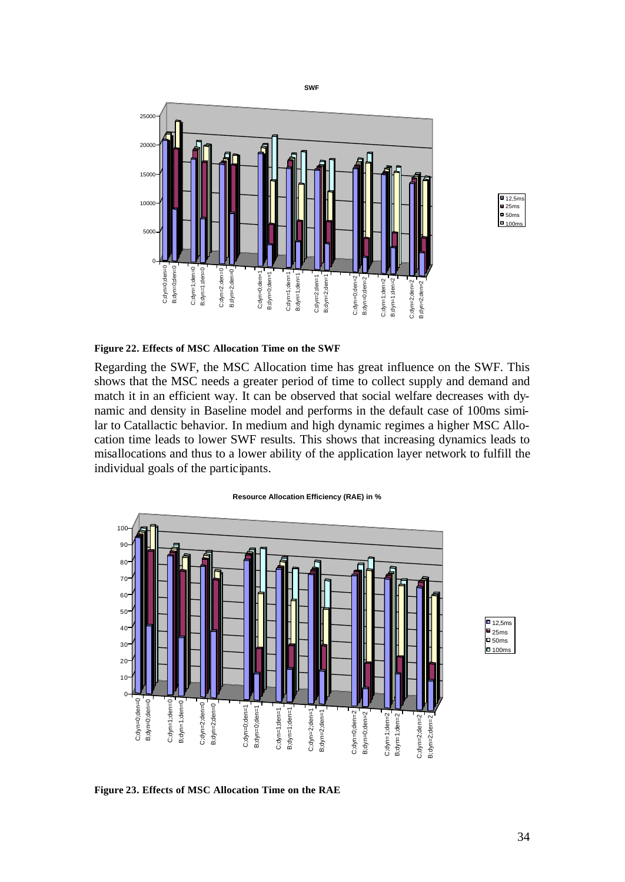



#### **Figure 22. Effects of MSC Allocation Time on the SWF**

Regarding the SWF, the MSC Allocation time has great influence on the SWF. This shows that the MSC needs a greater period of time to collect supply and demand and match it in an efficient way. It can be observed that social welfare decreases with dynamic and density in Baseline model and performs in the default case of 100ms similar to Catallactic behavior. In medium and high dynamic regimes a higher MSC Allocation time leads to lower SWF results. This shows that increasing dynamics leads to misallocations and thus to a lower ability of the application layer network to fulfill the individual goals of the participants.





**Figure 23. Effects of MSC Allocation Time on the RAE**

 $\boxed{\blacksquare}$  12,5ms  $\Box$ 25ms  $\overline{\mathsf{P}}$  50ms  $\Box$ 100ms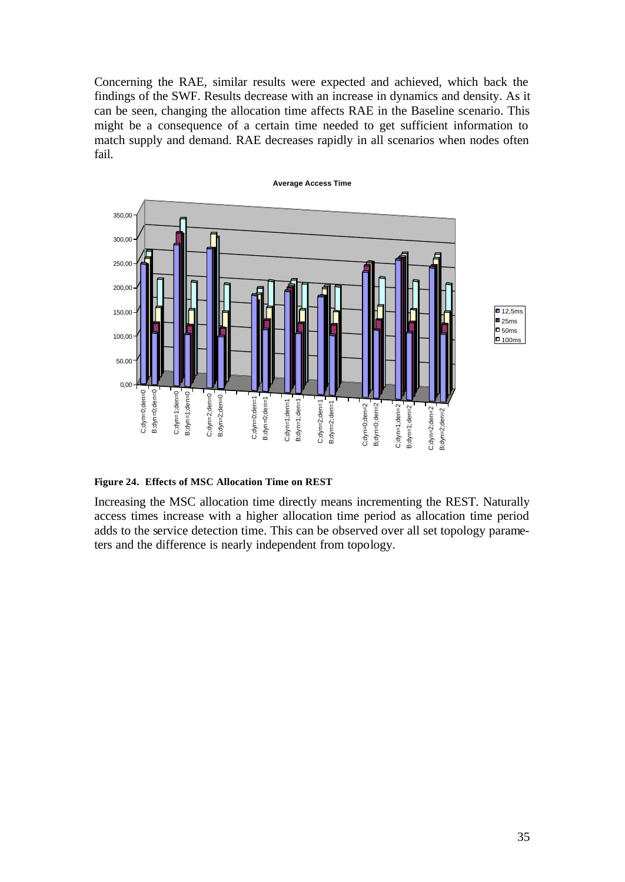Concerning the RAE, similar results were expected and achieved, which back the findings of the SWF. Results decrease with an increase in dynamics and density. As it can be seen, changing the allocation time affects RAE in the Baseline scenario. This might be a consequence of a certain time needed to get sufficient information to match supply and demand. RAE decreases rapidly in all scenarios when nodes often fail.



**Figure 24. Effects of MSC Allocation Time on REST**

Increasing the MSC allocation time directly means incrementing the REST. Naturally access times increase with a higher allocation time period as allocation time period adds to the service detection time. This can be observed over all set topology parameters and the difference is nearly independent from topology.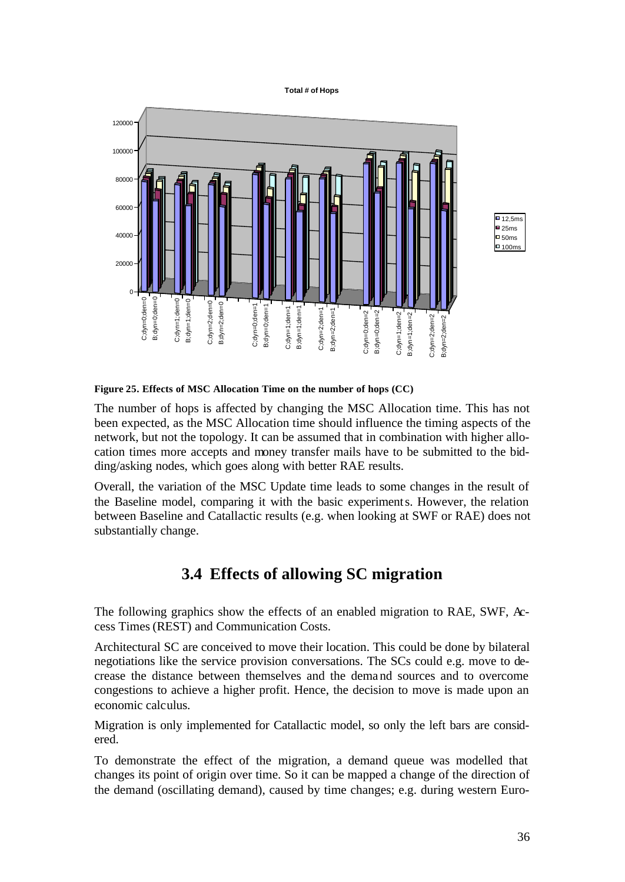**Total # of Hops**





**Figure 25. Effects of MSC Allocation Time on the number of hops (CC)**

The number of hops is affected by changing the MSC Allocation time. This has not been expected, as the MSC Allocation time should influence the timing aspects of the network, but not the topology. It can be assumed that in combination with higher allocation times more accepts and money transfer mails have to be submitted to the bidding/asking nodes, which goes along with better RAE results.

Overall, the variation of the MSC Update time leads to some changes in the result of the Baseline model, comparing it with the basic experiments. However, the relation between Baseline and Catallactic results (e.g. when looking at SWF or RAE) does not substantially change.

# **3.4 Effects of allowing SC migration**

The following graphics show the effects of an enabled migration to RAE, SWF, Access Times (REST) and Communication Costs.

Architectural SC are conceived to move their location. This could be done by bilateral negotiations like the service provision conversations. The SCs could e.g. move to decrease the distance between themselves and the demand sources and to overcome congestions to achieve a higher profit. Hence, the decision to move is made upon an economic calculus.

Migration is only implemented for Catallactic model, so only the left bars are considered.

To demonstrate the effect of the migration, a demand queue was modelled that changes its point of origin over time. So it can be mapped a change of the direction of the demand (oscillating demand), caused by time changes; e.g. during western Euro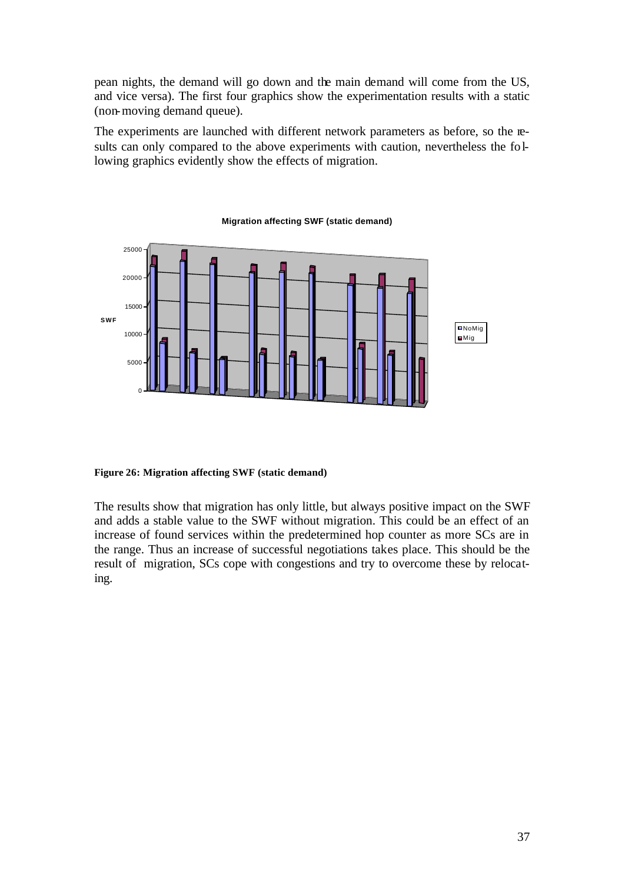pean nights, the demand will go down and the main demand will come from the US, and vice versa). The first four graphics show the experimentation results with a static (non-moving demand queue).

The experiments are launched with different network parameters as before, so the results can only compared to the above experiments with caution, nevertheless the following graphics evidently show the effects of migration.



**Migration affecting SWF (static demand)**

**Figure 26: Migration affecting SWF (static demand)**

The results show that migration has only little, but always positive impact on the SWF and adds a stable value to the SWF without migration. This could be an effect of an increase of found services within the predetermined hop counter as more SCs are in the range. Thus an increase of successful negotiations takes place. This should be the result of migration, SCs cope with congestions and try to overcome these by relocating.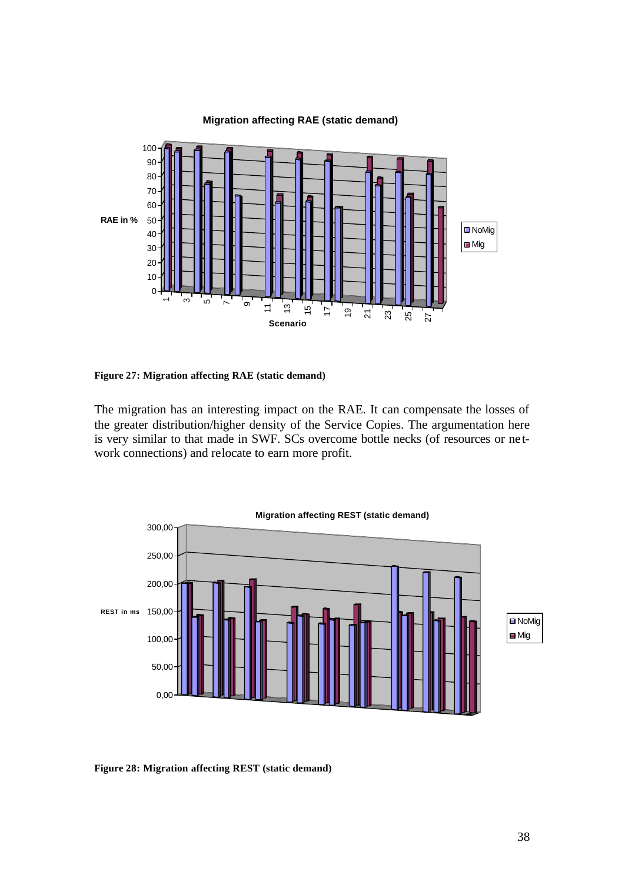

### **Migration affecting RAE (static demand)**

**Figure 27: Migration affecting RAE (static demand)**

The migration has an interesting impact on the RAE. It can compensate the losses of the greater distribution/higher density of the Service Copies. The argumentation here is very similar to that made in SWF. SCs overcome bottle necks (of resources or ne twork connections) and relocate to earn more profit.



**Figure 28: Migration affecting REST (static demand)**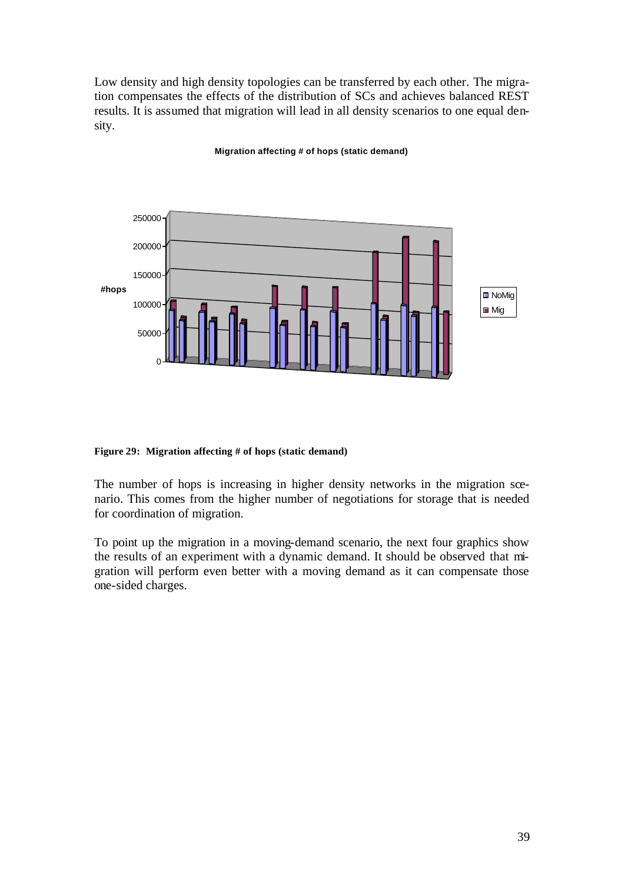Low density and high density topologies can be transferred by each other. The migration compensates the effects of the distribution of SCs and achieves balanced REST results. It is assumed that migration will lead in all density scenarios to one equal density.

### **Migration affecting # of hops (static demand)**



**Figure 29: Migration affecting # of hops (static demand)**

The number of hops is increasing in higher density networks in the migration scenario. This comes from the higher number of negotiations for storage that is needed for coordination of migration.

To point up the migration in a moving-demand scenario, the next four graphics show the results of an experiment with a dynamic demand. It should be observed that migration will perform even better with a moving demand as it can compensate those one-sided charges.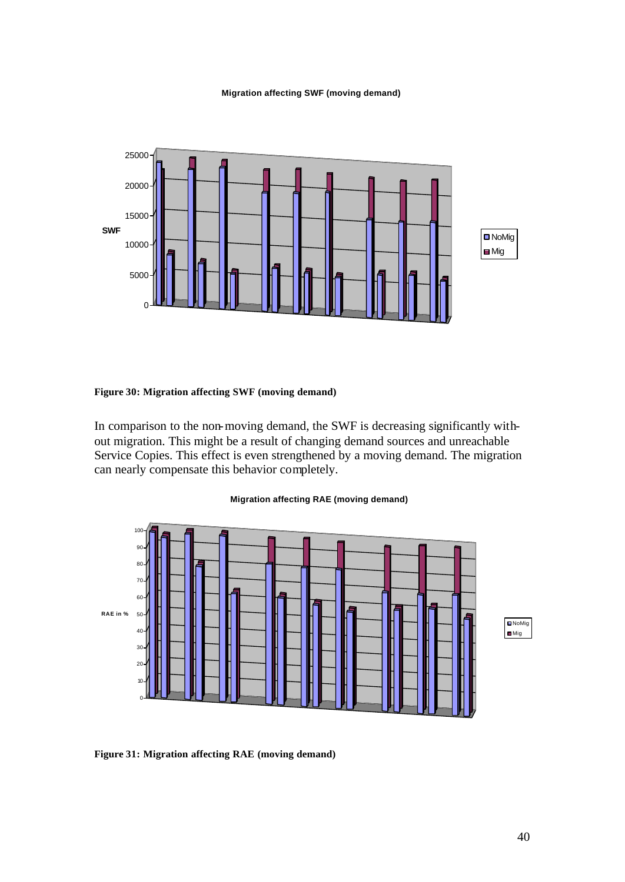#### **Migration affecting SWF (moving demand)**



### **Figure 30: Migration affecting SWF (moving demand)**

In comparison to the non-moving demand, the SWF is decreasing significantly without migration. This might be a result of changing demand sources and unreachable Service Copies. This effect is even strengthened by a moving demand. The migration can nearly compensate this behavior completely.

#### **Migration affecting RAE (moving demand)**



**Figure 31: Migration affecting RAE (moving demand)**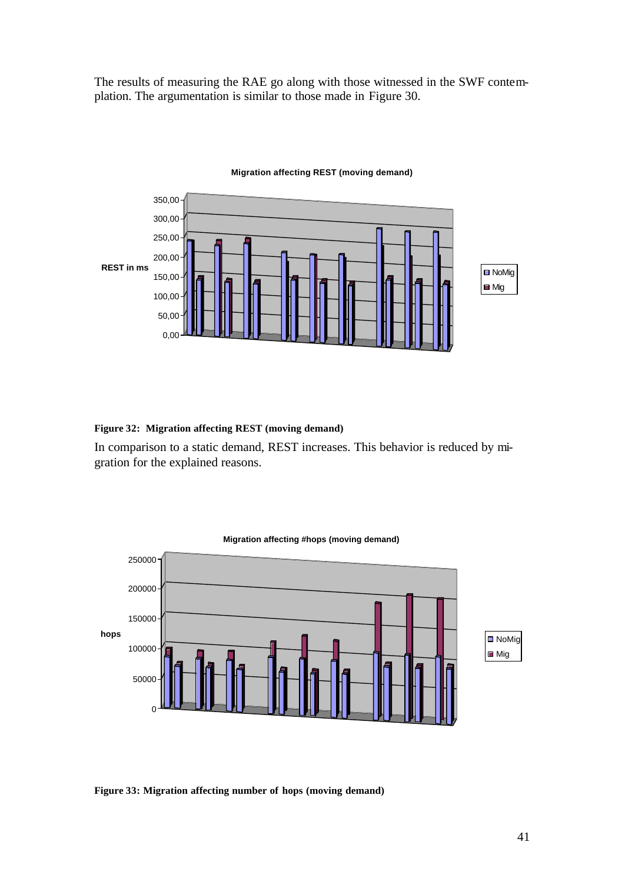The results of measuring the RAE go along with those witnessed in the SWF contemplation. The argumentation is similar to those made in Figure 30.



#### **Migration affecting REST (moving demand)**

#### **Figure 32: Migration affecting REST (moving demand)**

In comparison to a static demand, REST increases. This behavior is reduced by migration for the explained reasons.



#### **Figure 33: Migration affecting number of hops (moving demand)**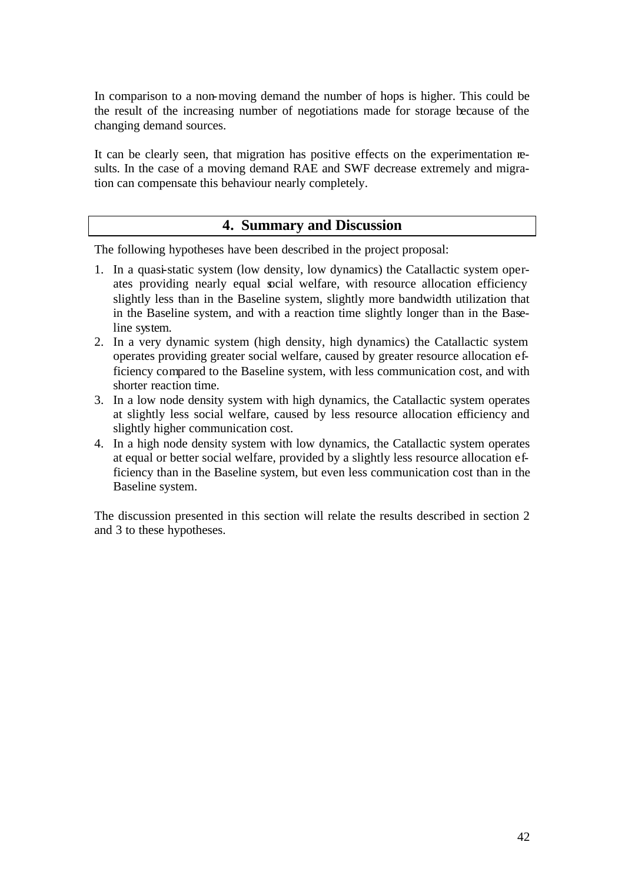In comparison to a non-moving demand the number of hops is higher. This could be the result of the increasing number of negotiations made for storage because of the changing demand sources.

It can be clearly seen, that migration has positive effects on the experimentation results. In the case of a moving demand RAE and SWF decrease extremely and migration can compensate this behaviour nearly completely.

## **4. Summary and Discussion**

The following hypotheses have been described in the project proposal:

- 1. In a quasi-static system (low density, low dynamics) the Catallactic system operates providing nearly equal social welfare, with resource allocation efficiency slightly less than in the Baseline system, slightly more bandwidth utilization that in the Baseline system, and with a reaction time slightly longer than in the Baseline system.
- 2. In a very dynamic system (high density, high dynamics) the Catallactic system operates providing greater social welfare, caused by greater resource allocation efficiency compared to the Baseline system, with less communication cost, and with shorter reaction time.
- 3. In a low node density system with high dynamics, the Catallactic system operates at slightly less social welfare, caused by less resource allocation efficiency and slightly higher communication cost.
- 4. In a high node density system with low dynamics, the Catallactic system operates at equal or better social welfare, provided by a slightly less resource allocation efficiency than in the Baseline system, but even less communication cost than in the Baseline system.

The discussion presented in this section will relate the results described in section 2 and 3 to these hypotheses.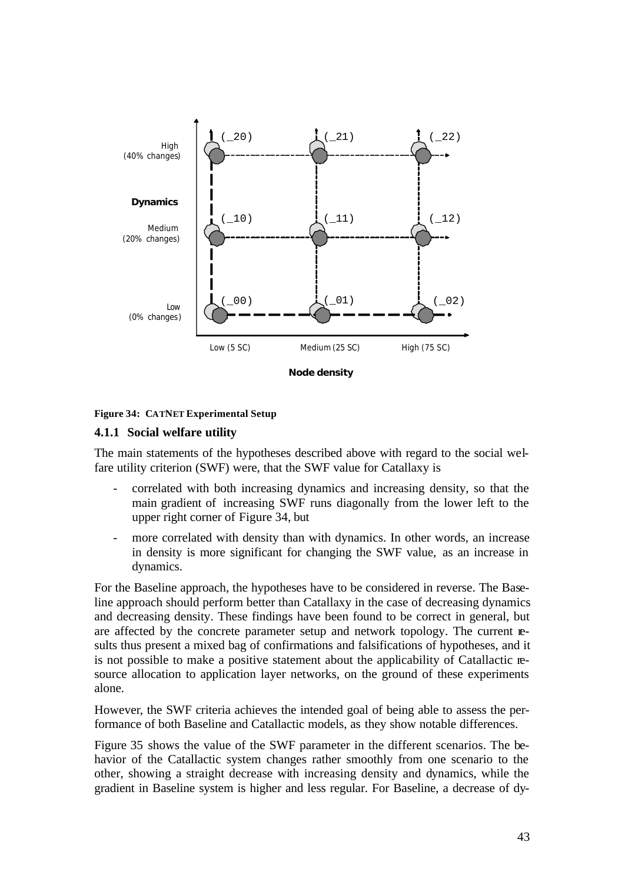



### **4.1.1 Social welfare utility**

The main statements of the hypotheses described above with regard to the social welfare utility criterion (SWF) were, that the SWF value for Catallaxy is

- correlated with both increasing dynamics and increasing density, so that the main gradient of increasing SWF runs diagonally from the lower left to the upper right corner of Figure 34, but
- more correlated with density than with dynamics. In other words, an increase in density is more significant for changing the SWF value, as an increase in dynamics.

For the Baseline approach, the hypotheses have to be considered in reverse. The Baseline approach should perform better than Catallaxy in the case of decreasing dynamics and decreasing density. These findings have been found to be correct in general, but are affected by the concrete parameter setup and network topology. The current results thus present a mixed bag of confirmations and falsifications of hypotheses, and it is not possible to make a positive statement about the applicability of Catallactic resource allocation to application layer networks, on the ground of these experiments alone.

However, the SWF criteria achieves the intended goal of being able to assess the performance of both Baseline and Catallactic models, as they show notable differences.

Figure 35 shows the value of the SWF parameter in the different scenarios. The behavior of the Catallactic system changes rather smoothly from one scenario to the other, showing a straight decrease with increasing density and dynamics, while the gradient in Baseline system is higher and less regular. For Baseline, a decrease of dy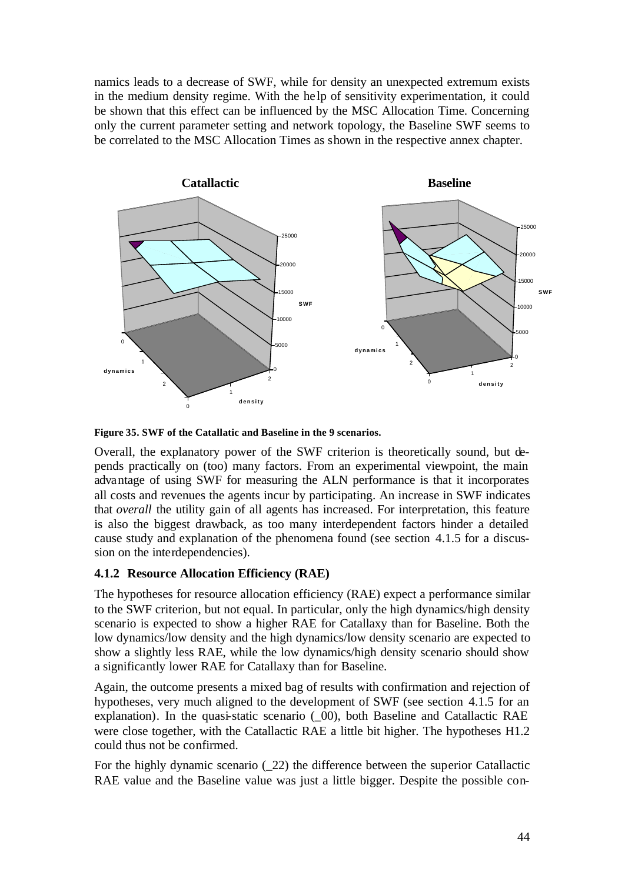namics leads to a decrease of SWF, while for density an unexpected extremum exists in the medium density regime. With the he lp of sensitivity experimentation, it could be shown that this effect can be influenced by the MSC Allocation Time. Concerning only the current parameter setting and network topology, the Baseline SWF seems to be correlated to the MSC Allocation Times as shown in the respective annex chapter.



**Figure 35. SWF of the Catallatic and Baseline in the 9 scenarios.**

Overall, the explanatory power of the SWF criterion is theoretically sound, but depends practically on (too) many factors. From an experimental viewpoint, the main advantage of using SWF for measuring the ALN performance is that it incorporates all costs and revenues the agents incur by participating. An increase in SWF indicates that *overall* the utility gain of all agents has increased. For interpretation, this feature is also the biggest drawback, as too many interdependent factors hinder a detailed cause study and explanation of the phenomena found (see section 4.1.5 for a discussion on the interdependencies).

## **4.1.2 Resource Allocation Efficiency (RAE)**

The hypotheses for resource allocation efficiency (RAE) expect a performance similar to the SWF criterion, but not equal. In particular, only the high dynamics/high density scenario is expected to show a higher RAE for Catallaxy than for Baseline. Both the low dynamics/low density and the high dynamics/low density scenario are expected to show a slightly less RAE, while the low dynamics/high density scenario should show a significantly lower RAE for Catallaxy than for Baseline.

Again, the outcome presents a mixed bag of results with confirmation and rejection of hypotheses, very much aligned to the development of SWF (see section 4.1.5 for an explanation). In the quasi-static scenario ( $\overline{00}$ ), both Baseline and Catallactic RAE were close together, with the Catallactic RAE a little bit higher. The hypotheses H1.2 could thus not be confirmed.

For the highly dynamic scenario (\_22) the difference between the superior Catallactic RAE value and the Baseline value was just a little bigger. Despite the possible con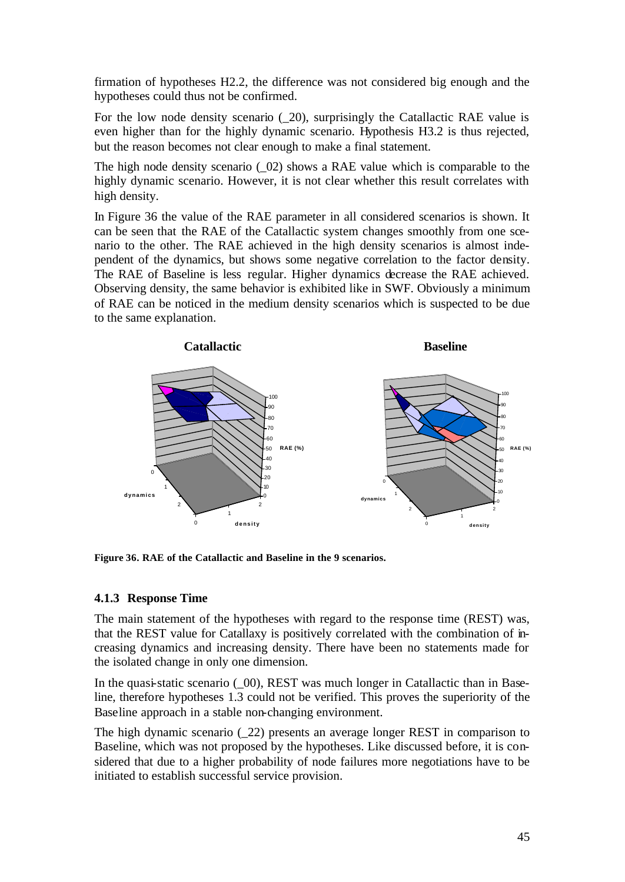firmation of hypotheses H2.2, the difference was not considered big enough and the hypotheses could thus not be confirmed.

For the low node density scenario  $(20)$ , surprisingly the Catallactic RAE value is even higher than for the highly dynamic scenario. Hypothesis H3.2 is thus rejected, but the reason becomes not clear enough to make a final statement.

The high node density scenario  $(02)$  shows a RAE value which is comparable to the highly dynamic scenario. However, it is not clear whether this result correlates with high density.

In Figure 36 the value of the RAE parameter in all considered scenarios is shown. It can be seen that the RAE of the Catallactic system changes smoothly from one scenario to the other. The RAE achieved in the high density scenarios is almost independent of the dynamics, but shows some negative correlation to the factor density. The RAE of Baseline is less regular. Higher dynamics decrease the RAE achieved. Observing density, the same behavior is exhibited like in SWF. Obviously a minimum of RAE can be noticed in the medium density scenarios which is suspected to be due to the same explanation.



**Figure 36. RAE of the Catallactic and Baseline in the 9 scenarios.**

### **4.1.3 Response Time**

The main statement of the hypotheses with regard to the response time (REST) was, that the REST value for Catallaxy is positively correlated with the combination of increasing dynamics and increasing density. There have been no statements made for the isolated change in only one dimension.

In the quasi-static scenario  $(0, 00)$ , REST was much longer in Catallactic than in Baseline, therefore hypotheses 1.3 could not be verified. This proves the superiority of the Baseline approach in a stable non-changing environment.

The high dynamic scenario (\_22) presents an average longer REST in comparison to Baseline, which was not proposed by the hypotheses. Like discussed before, it is considered that due to a higher probability of node failures more negotiations have to be initiated to establish successful service provision.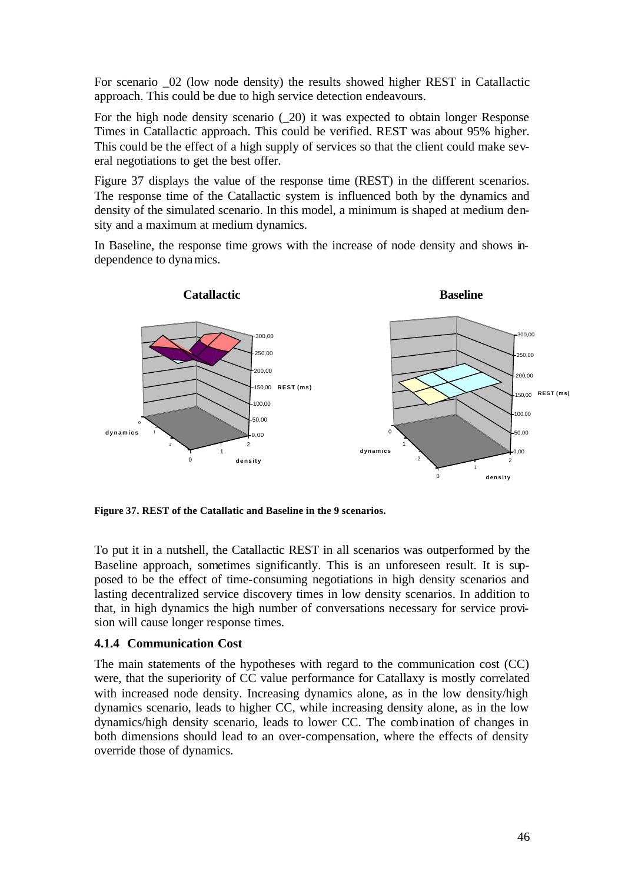For scenario  $\alpha$  (low node density) the results showed higher REST in Catallactic approach. This could be due to high service detection endeavours.

For the high node density scenario (20) it was expected to obtain longer Response Times in Catallactic approach. This could be verified. REST was about 95% higher. This could be the effect of a high supply of services so that the client could make several negotiations to get the best offer.

Figure 37 displays the value of the response time (REST) in the different scenarios. The response time of the Catallactic system is influenced both by the dynamics and density of the simulated scenario. In this model, a minimum is shaped at medium density and a maximum at medium dynamics.

In Baseline, the response time grows with the increase of node density and shows independence to dynamics.



**Figure 37. REST of the Catallatic and Baseline in the 9 scenarios.**

To put it in a nutshell, the Catallactic REST in all scenarios was outperformed by the Baseline approach, sometimes significantly. This is an unforeseen result. It is supposed to be the effect of time-consuming negotiations in high density scenarios and lasting decentralized service discovery times in low density scenarios. In addition to that, in high dynamics the high number of conversations necessary for service provision will cause longer response times.

### **4.1.4 Communication Cost**

The main statements of the hypotheses with regard to the communication cost (CC) were, that the superiority of CC value performance for Catallaxy is mostly correlated with increased node density. Increasing dynamics alone, as in the low density/high dynamics scenario, leads to higher CC, while increasing density alone, as in the low dynamics/high density scenario, leads to lower CC. The combination of changes in both dimensions should lead to an over-compensation, where the effects of density override those of dynamics.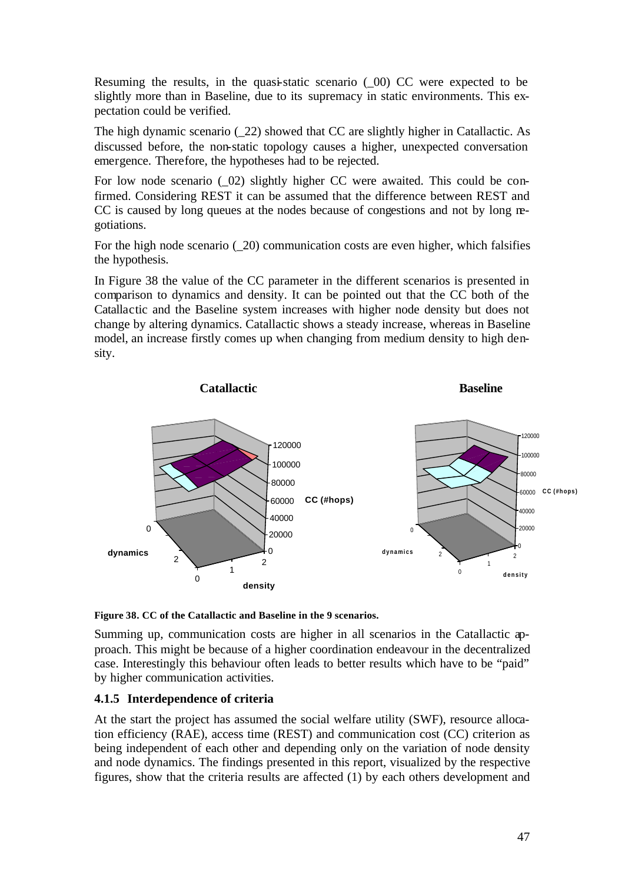Resuming the results, in the quasi-static scenario (\_00) CC were expected to be slightly more than in Baseline, due to its supremacy in static environments. This expectation could be verified.

The high dynamic scenario (\_22) showed that CC are slightly higher in Catallactic. As discussed before, the non-static topology causes a higher, unexpected conversation emergence. Therefore, the hypotheses had to be rejected.

For low node scenario ( $\sigma$ 02) slightly higher CC were awaited. This could be confirmed. Considering REST it can be assumed that the difference between REST and CC is caused by long queues at the nodes because of congestions and not by long negotiations.

For the high node scenario  $(20)$  communication costs are even higher, which falsifies the hypothesis.

In Figure 38 the value of the CC parameter in the different scenarios is presented in comparison to dynamics and density. It can be pointed out that the CC both of the Catallactic and the Baseline system increases with higher node density but does not change by altering dynamics. Catallactic shows a steady increase, whereas in Baseline model, an increase firstly comes up when changing from medium density to high density.



**Figure 38. CC of the Catallactic and Baseline in the 9 scenarios.**

Summing up, communication costs are higher in all scenarios in the Catallactic approach. This might be because of a higher coordination endeavour in the decentralized case. Interestingly this behaviour often leads to better results which have to be "paid" by higher communication activities.

### **4.1.5 Interdependence of criteria**

At the start the project has assumed the social welfare utility (SWF), resource allocation efficiency (RAE), access time (REST) and communication cost (CC) criterion as being independent of each other and depending only on the variation of node density and node dynamics. The findings presented in this report, visualized by the respective figures, show that the criteria results are affected (1) by each others development and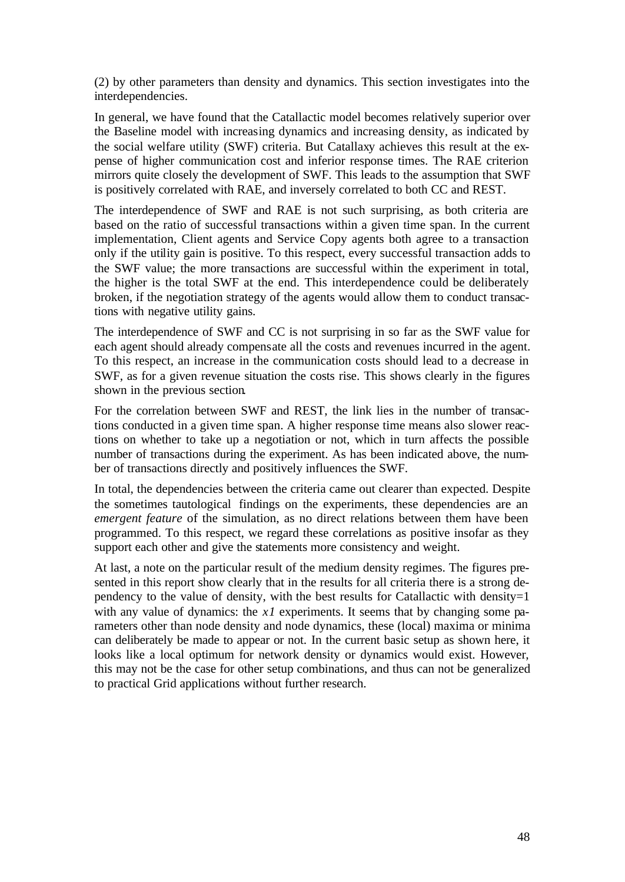(2) by other parameters than density and dynamics. This section investigates into the interdependencies.

In general, we have found that the Catallactic model becomes relatively superior over the Baseline model with increasing dynamics and increasing density, as indicated by the social welfare utility (SWF) criteria. But Catallaxy achieves this result at the expense of higher communication cost and inferior response times. The RAE criterion mirrors quite closely the development of SWF. This leads to the assumption that SWF is positively correlated with RAE, and inversely correlated to both CC and REST.

The interdependence of SWF and RAE is not such surprising, as both criteria are based on the ratio of successful transactions within a given time span. In the current implementation, Client agents and Service Copy agents both agree to a transaction only if the utility gain is positive. To this respect, every successful transaction adds to the SWF value; the more transactions are successful within the experiment in total, the higher is the total SWF at the end. This interdependence could be deliberately broken, if the negotiation strategy of the agents would allow them to conduct transactions with negative utility gains.

The interdependence of SWF and CC is not surprising in so far as the SWF value for each agent should already compensate all the costs and revenues incurred in the agent. To this respect, an increase in the communication costs should lead to a decrease in SWF, as for a given revenue situation the costs rise. This shows clearly in the figures shown in the previous section.

For the correlation between SWF and REST, the link lies in the number of transactions conducted in a given time span. A higher response time means also slower reactions on whether to take up a negotiation or not, which in turn affects the possible number of transactions during the experiment. As has been indicated above, the number of transactions directly and positively influences the SWF.

In total, the dependencies between the criteria came out clearer than expected. Despite the sometimes tautological findings on the experiments, these dependencies are an *emergent feature* of the simulation, as no direct relations between them have been programmed. To this respect, we regard these correlations as positive insofar as they support each other and give the statements more consistency and weight.

At last, a note on the particular result of the medium density regimes. The figures presented in this report show clearly that in the results for all criteria there is a strong dependency to the value of density, with the best results for Catallactic with density=1 with any value of dynamics: the *x1* experiments. It seems that by changing some parameters other than node density and node dynamics, these (local) maxima or minima can deliberately be made to appear or not. In the current basic setup as shown here, it looks like a local optimum for network density or dynamics would exist. However, this may not be the case for other setup combinations, and thus can not be generalized to practical Grid applications without further research.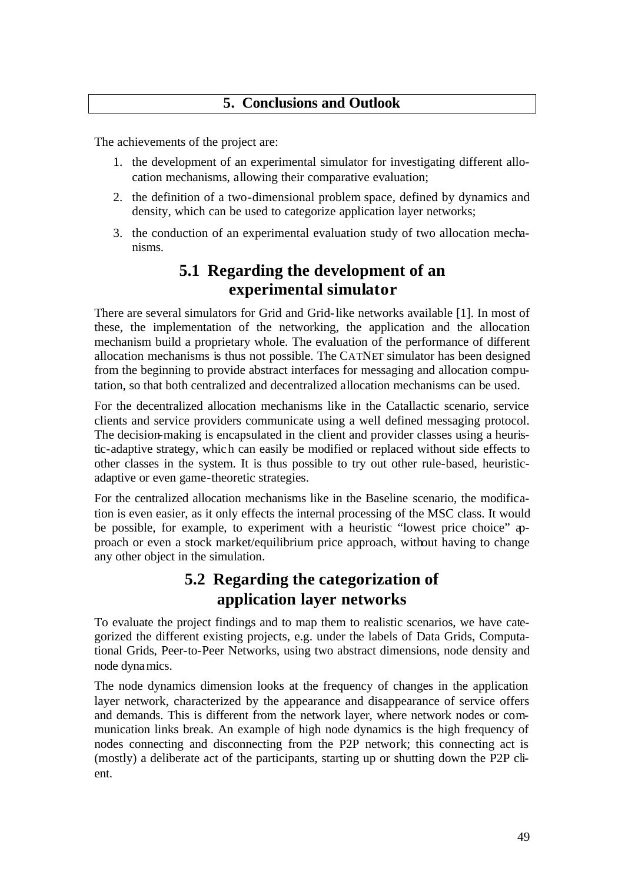## **5. Conclusions and Outlook**

The achievements of the project are:

- 1. the development of an experimental simulator for investigating different allocation mechanisms, allowing their comparative evaluation;
- 2. the definition of a two-dimensional problem space, defined by dynamics and density, which can be used to categorize application layer networks;
- 3. the conduction of an experimental evaluation study of two allocation mechanisms.

# **5.1 Regarding the development of an experimental simulator**

There are several simulators for Grid and Grid-like networks available [1]. In most of these, the implementation of the networking, the application and the allocation mechanism build a proprietary whole. The evaluation of the performance of different allocation mechanisms is thus not possible. The CATNET simulator has been designed from the beginning to provide abstract interfaces for messaging and allocation computation, so that both centralized and decentralized allocation mechanisms can be used.

For the decentralized allocation mechanisms like in the Catallactic scenario, service clients and service providers communicate using a well defined messaging protocol. The decision-making is encapsulated in the client and provider classes using a heuristic-adaptive strategy, which can easily be modified or replaced without side effects to other classes in the system. It is thus possible to try out other rule-based, heuristicadaptive or even game-theoretic strategies.

For the centralized allocation mechanisms like in the Baseline scenario, the modification is even easier, as it only effects the internal processing of the MSC class. It would be possible, for example, to experiment with a heuristic "lowest price choice" approach or even a stock market/equilibrium price approach, without having to change any other object in the simulation.

# **5.2 Regarding the categorization of application layer networks**

To evaluate the project findings and to map them to realistic scenarios, we have categorized the different existing projects, e.g. under the labels of Data Grids, Computational Grids, Peer-to-Peer Networks, using two abstract dimensions, node density and node dynamics.

The node dynamics dimension looks at the frequency of changes in the application layer network, characterized by the appearance and disappearance of service offers and demands. This is different from the network layer, where network nodes or communication links break. An example of high node dynamics is the high frequency of nodes connecting and disconnecting from the P2P network; this connecting act is (mostly) a deliberate act of the participants, starting up or shutting down the P2P client.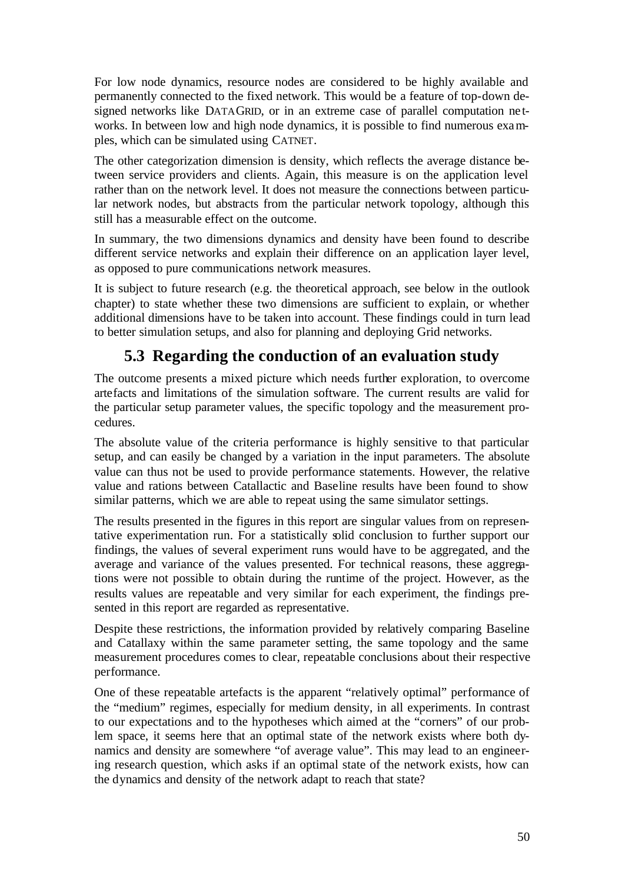For low node dynamics, resource nodes are considered to be highly available and permanently connected to the fixed network. This would be a feature of top-down designed networks like DATAGRID, or in an extreme case of parallel computation networks. In between low and high node dynamics, it is possible to find numerous examples, which can be simulated using CATNET.

The other categorization dimension is density, which reflects the average distance between service providers and clients. Again, this measure is on the application level rather than on the network level. It does not measure the connections between particular network nodes, but abstracts from the particular network topology, although this still has a measurable effect on the outcome.

In summary, the two dimensions dynamics and density have been found to describe different service networks and explain their difference on an application layer level, as opposed to pure communications network measures.

It is subject to future research (e.g. the theoretical approach, see below in the outlook chapter) to state whether these two dimensions are sufficient to explain, or whether additional dimensions have to be taken into account. These findings could in turn lead to better simulation setups, and also for planning and deploying Grid networks.

# **5.3 Regarding the conduction of an evaluation study**

The outcome presents a mixed picture which needs further exploration, to overcome artefacts and limitations of the simulation software. The current results are valid for the particular setup parameter values, the specific topology and the measurement procedures.

The absolute value of the criteria performance is highly sensitive to that particular setup, and can easily be changed by a variation in the input parameters. The absolute value can thus not be used to provide performance statements. However, the relative value and rations between Catallactic and Baseline results have been found to show similar patterns, which we are able to repeat using the same simulator settings.

The results presented in the figures in this report are singular values from on representative experimentation run. For a statistically solid conclusion to further support our findings, the values of several experiment runs would have to be aggregated, and the average and variance of the values presented. For technical reasons, these aggregations were not possible to obtain during the runtime of the project. However, as the results values are repeatable and very similar for each experiment, the findings presented in this report are regarded as representative.

Despite these restrictions, the information provided by relatively comparing Baseline and Catallaxy within the same parameter setting, the same topology and the same measurement procedures comes to clear, repeatable conclusions about their respective performance.

One of these repeatable artefacts is the apparent "relatively optimal" performance of the "medium" regimes, especially for medium density, in all experiments. In contrast to our expectations and to the hypotheses which aimed at the "corners" of our problem space, it seems here that an optimal state of the network exists where both dynamics and density are somewhere "of average value". This may lead to an engineering research question, which asks if an optimal state of the network exists, how can the dynamics and density of the network adapt to reach that state?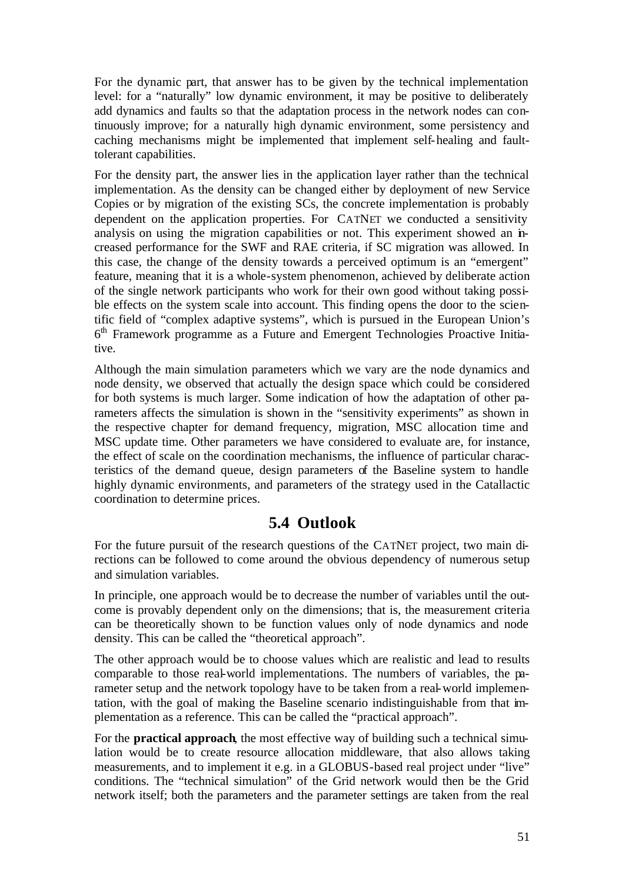For the dynamic part, that answer has to be given by the technical implementation level: for a "naturally" low dynamic environment, it may be positive to deliberately add dynamics and faults so that the adaptation process in the network nodes can continuously improve; for a naturally high dynamic environment, some persistency and caching mechanisms might be implemented that implement self-healing and faulttolerant capabilities.

For the density part, the answer lies in the application layer rather than the technical implementation. As the density can be changed either by deployment of new Service Copies or by migration of the existing SCs, the concrete implementation is probably dependent on the application properties. For CATNET we conducted a sensitivity analysis on using the migration capabilities or not. This experiment showed an increased performance for the SWF and RAE criteria, if SC migration was allowed. In this case, the change of the density towards a perceived optimum is an "emergent" feature, meaning that it is a whole-system phenomenon, achieved by deliberate action of the single network participants who work for their own good without taking possible effects on the system scale into account. This finding opens the door to the scientific field of "complex adaptive systems", which is pursued in the European Union's 6<sup>th</sup> Framework programme as a Future and Emergent Technologies Proactive Initiative.

Although the main simulation parameters which we vary are the node dynamics and node density, we observed that actually the design space which could be considered for both systems is much larger. Some indication of how the adaptation of other parameters affects the simulation is shown in the "sensitivity experiments" as shown in the respective chapter for demand frequency, migration, MSC allocation time and MSC update time. Other parameters we have considered to evaluate are, for instance, the effect of scale on the coordination mechanisms, the influence of particular characteristics of the demand queue, design parameters of the Baseline system to handle highly dynamic environments, and parameters of the strategy used in the Catallactic coordination to determine prices.

## **5.4 Outlook**

For the future pursuit of the research questions of the CATNET project, two main directions can be followed to come around the obvious dependency of numerous setup and simulation variables.

In principle, one approach would be to decrease the number of variables until the outcome is provably dependent only on the dimensions; that is, the measurement criteria can be theoretically shown to be function values only of node dynamics and node density. This can be called the "theoretical approach".

The other approach would be to choose values which are realistic and lead to results comparable to those real-world implementations. The numbers of variables, the parameter setup and the network topology have to be taken from a real-world implementation, with the goal of making the Baseline scenario indistinguishable from that implementation as a reference. This can be called the "practical approach".

For the **practical approach**, the most effective way of building such a technical simulation would be to create resource allocation middleware, that also allows taking measurements, and to implement it e.g. in a GLOBUS-based real project under "live" conditions. The "technical simulation" of the Grid network would then be the Grid network itself; both the parameters and the parameter settings are taken from the real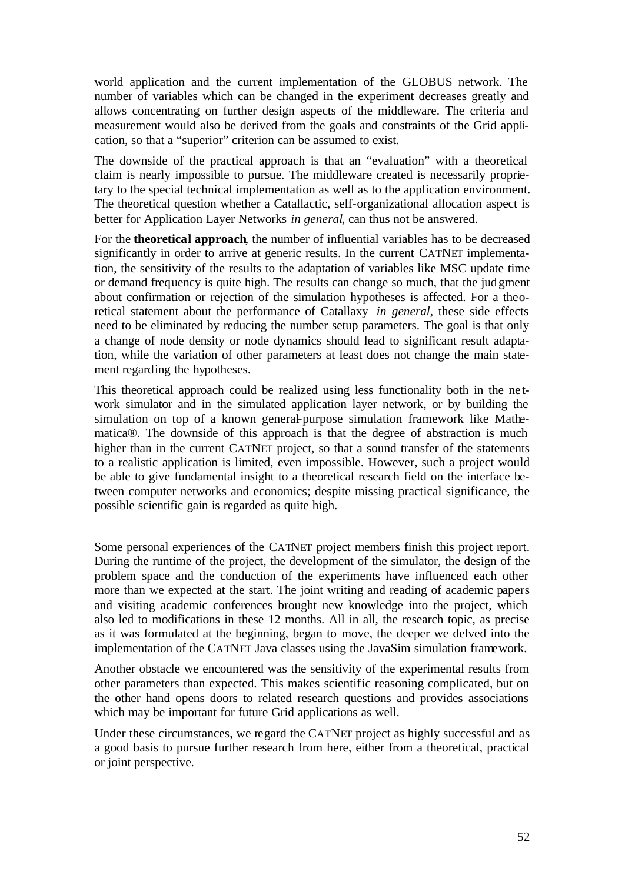world application and the current implementation of the GLOBUS network. The number of variables which can be changed in the experiment decreases greatly and allows concentrating on further design aspects of the middleware. The criteria and measurement would also be derived from the goals and constraints of the Grid application, so that a "superior" criterion can be assumed to exist.

The downside of the practical approach is that an "evaluation" with a theoretical claim is nearly impossible to pursue. The middleware created is necessarily proprietary to the special technical implementation as well as to the application environment. The theoretical question whether a Catallactic, self-organizational allocation aspect is better for Application Layer Networks *in general*, can thus not be answered.

For the **theoretical approach**, the number of influential variables has to be decreased significantly in order to arrive at generic results. In the current CATNET implementation, the sensitivity of the results to the adaptation of variables like MSC update time or demand frequency is quite high. The results can change so much, that the judgment about confirmation or rejection of the simulation hypotheses is affected. For a theoretical statement about the performance of Catallaxy *in general*, these side effects need to be eliminated by reducing the number setup parameters. The goal is that only a change of node density or node dynamics should lead to significant result adaptation, while the variation of other parameters at least does not change the main statement regarding the hypotheses.

This theoretical approach could be realized using less functionality both in the ne twork simulator and in the simulated application layer network, or by building the simulation on top of a known general-purpose simulation framework like Mathematica®. The downside of this approach is that the degree of abstraction is much higher than in the current CATNET project, so that a sound transfer of the statements to a realistic application is limited, even impossible. However, such a project would be able to give fundamental insight to a theoretical research field on the interface between computer networks and economics; despite missing practical significance, the possible scientific gain is regarded as quite high.

Some personal experiences of the CATNET project members finish this project report. During the runtime of the project, the development of the simulator, the design of the problem space and the conduction of the experiments have influenced each other more than we expected at the start. The joint writing and reading of academic papers and visiting academic conferences brought new knowledge into the project, which also led to modifications in these 12 months. All in all, the research topic, as precise as it was formulated at the beginning, began to move, the deeper we delved into the implementation of the CATNET Java classes using the JavaSim simulation framework.

Another obstacle we encountered was the sensitivity of the experimental results from other parameters than expected. This makes scientific reasoning complicated, but on the other hand opens doors to related research questions and provides associations which may be important for future Grid applications as well.

Under these circumstances, we regard the CATNET project as highly successful and as a good basis to pursue further research from here, either from a theoretical, practical or joint perspective.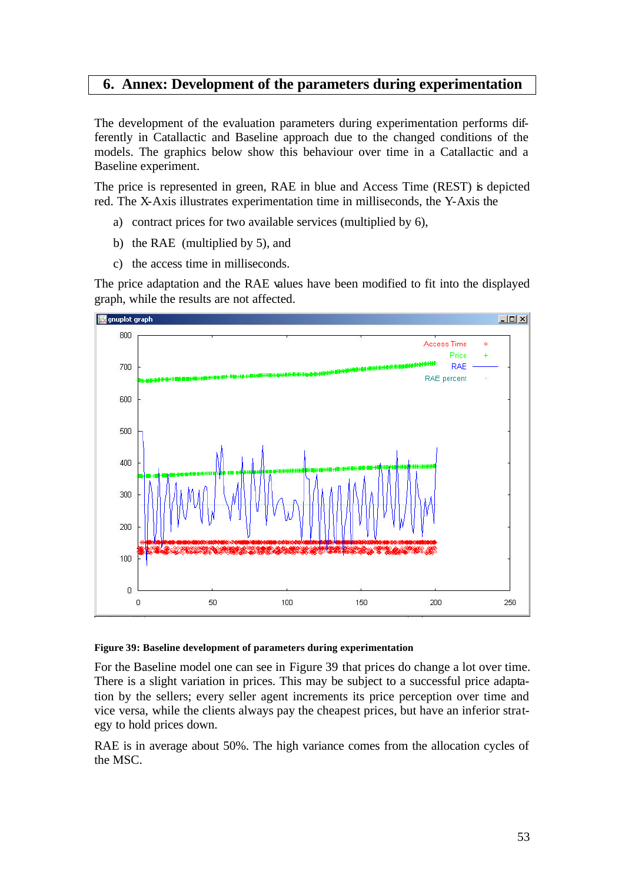## **6. Annex: Development of the parameters during experimentation**

The development of the evaluation parameters during experimentation performs differently in Catallactic and Baseline approach due to the changed conditions of the models. The graphics below show this behaviour over time in a Catallactic and a Baseline experiment.

The price is represented in green, RAE in blue and Access Time (REST) is depicted red. The X-Axis illustrates experimentation time in milliseconds, the Y-Axis the

- a) contract prices for two available services (multiplied by 6),
- b) the RAE (multiplied by 5), and
- c) the access time in milliseconds.

The price adaptation and the RAE values have been modified to fit into the displayed graph, while the results are not affected.



### **Figure 39: Baseline development of parameters during experimentation**

For the Baseline model one can see in Figure 39 that prices do change a lot over time. There is a slight variation in prices. This may be subject to a successful price adaptation by the sellers; every seller agent increments its price perception over time and vice versa, while the clients always pay the cheapest prices, but have an inferior strategy to hold prices down.

RAE is in average about 50%. The high variance comes from the allocation cycles of the MSC.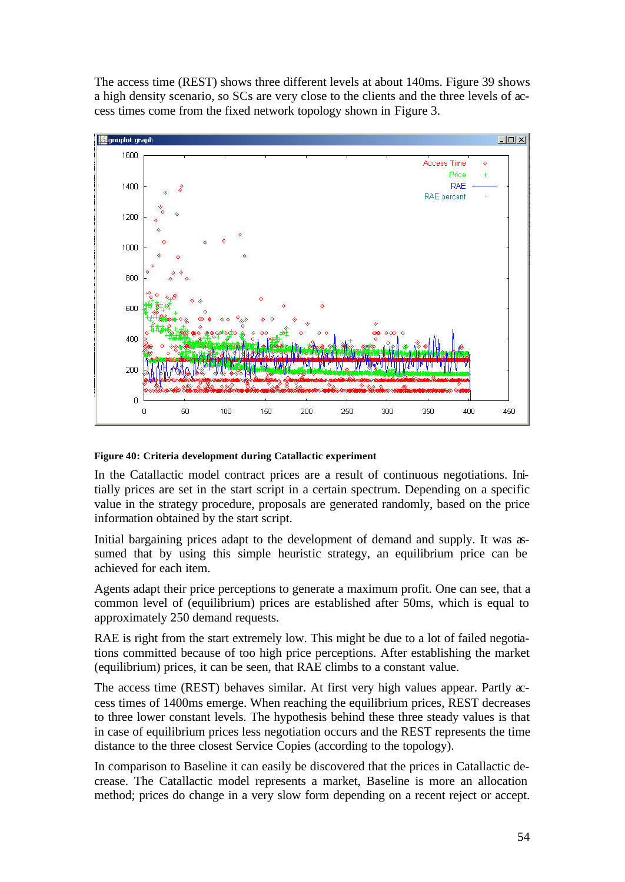The access time (REST) shows three different levels at about 140ms. Figure 39 shows a high density scenario, so SCs are very close to the clients and the three levels of access times come from the fixed network topology shown in Figure 3.



### **Figure 40: Criteria development during Catallactic experiment**

In the Catallactic model contract prices are a result of continuous negotiations. Initially prices are set in the start script in a certain spectrum. Depending on a specific value in the strategy procedure, proposals are generated randomly, based on the price information obtained by the start script.

Initial bargaining prices adapt to the development of demand and supply. It was assumed that by using this simple heuristic strategy, an equilibrium price can be achieved for each item.

Agents adapt their price perceptions to generate a maximum profit. One can see, that a common level of (equilibrium) prices are established after 50ms, which is equal to approximately 250 demand requests.

RAE is right from the start extremely low. This might be due to a lot of failed negotiations committed because of too high price perceptions. After establishing the market (equilibrium) prices, it can be seen, that RAE climbs to a constant value.

The access time (REST) behaves similar. At first very high values appear. Partly  $\alpha$ cess times of 1400ms emerge. When reaching the equilibrium prices, REST decreases to three lower constant levels. The hypothesis behind these three steady values is that in case of equilibrium prices less negotiation occurs and the REST represents the time distance to the three closest Service Copies (according to the topology).

In comparison to Baseline it can easily be discovered that the prices in Catallactic decrease. The Catallactic model represents a market, Baseline is more an allocation method; prices do change in a very slow form depending on a recent reject or accept.